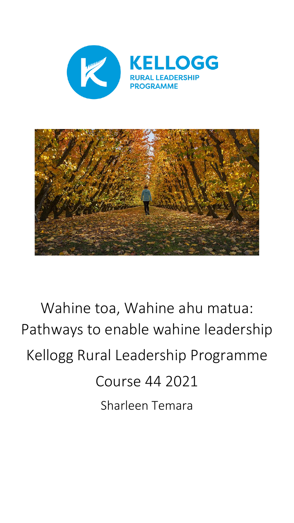



# Wahine toa, Wahine ahu matua: Pathways to enable wahine leadership Kellogg Rural Leadership Programme Course 44 2021 Sharleen Temara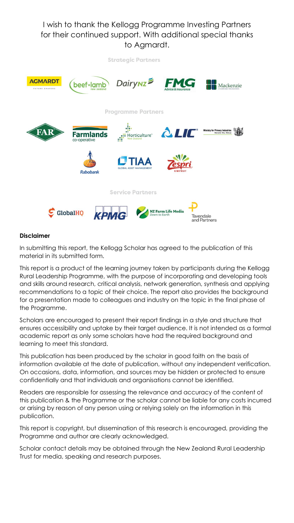I wish to thank the Kellogg Programme Investing Partners for their continued support. With additional special thanks to Agmardt.



#### **Disclaimer**

In submitting this report, the Kellogg Scholar has agreed to the publication of this material in its submitted form.

This report is a product of the learning journey taken by participants during the Kellogg Rural Leadership Programme, with the purpose of incorporating and developing tools and skills around research, critical analysis, network generation, synthesis and applying recommendations to a topic of their choice. The report also provides the background for a presentation made to colleagues and industry on the topic in the final phase of the Programme.

Scholars are encouraged to present their report findings in a style and structure that ensures accessibility and uptake by their target audience. It is not intended as a formal academic report as only some scholars have had the required background and learning to meet this standard.

This publication has been produced by the scholar in good faith on the basis of information available at the date of publication, without any independent verification. On occasions, data, information, and sources may be hidden or protected to ensure confidentially and that individuals and organisations cannot be identified.

Readers are responsible for assessing the relevance and accuracy of the content of this publication & the Programme or the scholar cannot be liable for any costs incurred or arising by reason of any person using or relying solely on the information in this publication.

This report is copyright, but dissemination of this research is encouraged, providing the Programme and author are clearly acknowledged.

Scholar contact details may be obtained through the New Zealand Rural Leadership Trust for media, speaking and research purposes.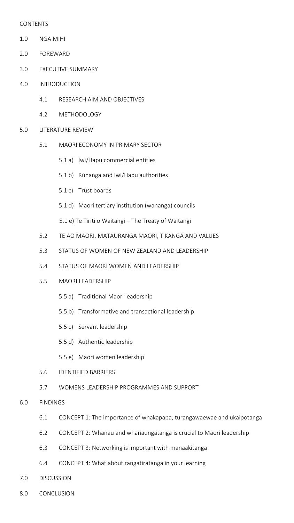#### CONTENTS

- 1.0 NGA MIHI
- 2.0 FOREWARD
- 3.0 EXECUTIVE SUMMARY
- 4.0 INTRODUCTION
	- 4.1 RESEARCH AIM AND OBJECTIVES
	- 4.2 METHODOLOGY
- 5.0 LITERATURE REVIEW
	- 5.1 MAORI ECONOMY IN PRIMARY SECTOR
		- 5.1 a) Iwi/Hapu commercial entities
		- 5.1 b) Rūnanga and Iwi/Hapu authorities
		- 5.1 c) Trust boards
		- 5.1 d) Maori tertiary institution (wananga) councils
		- 5.1 e) Te Tiriti o Waitangi The Treaty of Waitangi
	- 5.2 TE AO MAORI, MATAURANGA MAORI, TIKANGA AND VALUES
	- 5.3 STATUS OF WOMEN OF NEW ZEALAND AND LEADERSHIP
	- 5.4 STATUS OF MAORI WOMEN AND LEADERSHIP
	- 5.5 MAORI LEADERSHIP
		- 5.5 a) Traditional Maori leadership
		- 5.5 b) Transformative and transactional leadership
		- 5.5 c) Servant leadership
		- 5.5 d) Authentic leadership
		- 5.5 e) Maori women leadership
	- 5.6 IDENTIFIED BARRIERS
	- 5.7 WOMENS LEADERSHIP PROGRAMMES AND SUPPORT
- 6.0 FINDINGS
	- 6.1 CONCEPT 1: The importance of whakapapa, turangawaewae and ukaipotanga
	- 6.2 CONCEPT 2: Whanau and whanaungatanga is crucial to Maori leadership
	- 6.3 CONCEPT 3: Networking is important with manaakitanga
	- 6.4 CONCEPT 4: What about rangatiratanga in your learning
- 7.0 DISCUSSION
- 8.0 CONCLUSION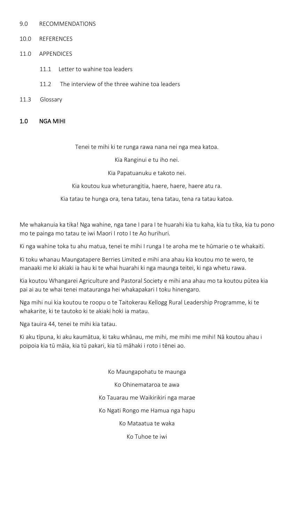- 9.0 RECOMMENDATIONS
- 10.0 REFERENCES
- 11.0 APPENDICES
	- 11.1 Letter to wahine toa leaders
	- 11.2 The interview of the three wahine toa leaders
- 11.3 Glossary
- 1.0 NGA MIHI

Tenei te mihi ki te runga rawa nana nei nga mea katoa.

Kia Ranginui e tu iho nei.

Kia Papatuanuku e takoto nei.

Kia koutou kua wheturangitia, haere, haere, haere atu ra.

Kia tatau te hunga ora, tena tatau, tena tatau, tena ra tatau katoa.

Me whakanuia ka tika! Nga wahine, nga tane I para I te huarahi kia tu kaha, kia tu tika, kia tu pono mo te painga mo tatau te iwi Maori I roto I te Ao hurihuri.

Ki nga wahine toka tu ahu matua, tenei te mihi I runga I te aroha me te hūmarie o te whakaiti.

Ki toku whanau Maungatapere Berries Limited e mihi ana ahau kia koutou mo te wero, te manaaki me ki akiaki ia hau ki te whai huarahi ki nga maunga teitei, ki nga whetu rawa.

Kia koutou Whangarei Agriculture and Pastoral Society e mihi ana ahau mo ta koutou pūtea kia pai ai au te whai tenei matauranga hei whakapakari I toku hinengaro.

Nga mihi nui kia koutou te roopu o te Taitokerau Kellogg Rural Leadership Programme, ki te whakarite, ki te tautoko ki te akiaki hoki ia matau.

Nga tauira 44, tenei te mihi kia tatau.

Ki aku tīpuna, ki aku kaumātua, ki taku whānau, me mihi, me mihi me mihi! Nā koutou ahau i poipoia kia tū māia, kia tū pakari, kia tū māhaki i roto i tēnei ao.

> Ko Maungapohatu te maunga Ko Ohinemataroa te awa Ko Tauarau me Waikirikiri nga marae Ko Ngati Rongo me Hamua nga hapu Ko Mataatua te waka Ko Tuhoe te iwi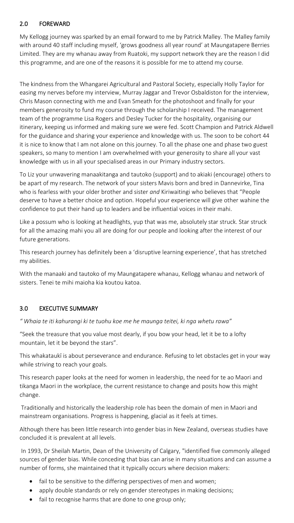## 2.0 FOREWARD

My Kellogg journey was sparked by an email forward to me by Patrick Malley. The Malley family with around 40 staff including myself, 'grows goodness all year round' at Maungatapere Berries Limited. They are my whanau away from Ruatoki, my support network they are the reason I did this programme, and are one of the reasons it is possible for me to attend my course.

The kindness from the Whangarei Agricultural and Pastoral Society, especially Holly Taylor for easing my nerves before my interview, Murray Jaggar and Trevor Osbaldiston for the interview, Chris Mason connecting with me and Evan Smeath for the photoshoot and finally for your members generosity to fund my course through the scholarship I received. The management team of the programme Lisa Rogers and Desley Tucker for the hospitality, organising our itinerary, keeping us informed and making sure we were fed. Scott Champion and Patrick Aldwell for the guidance and sharing your experience and knowledge with us. The soon to be cohort 44 it is nice to know that I am not alone on this journey. To all the phase one and phase two guest speakers, so many to mention I am overwhelmed with your generosity to share all your vast knowledge with us in all your specialised areas in our Primary industry sectors.

To Liz your unwavering manaakitanga and tautoko (support) and to akiaki (encourage) others to be apart of my research. The network of your sisters Mavis born and bred in Dannevirke, Tina who is fearless with your older brother and sister *and* Kiriwaitingi who believes that "People deserve to have a better choice and option. Hopeful your experience will give other wahine the confidence to put their hand up to leaders and be influential voices in their mahi.

Like a possum who is looking at headlights, yup that was me, absolutely star struck. Star struck for all the amazing mahi you all are doing for our people and looking after the interest of our future generations.

This research journey has definitely been a 'disruptive learning experience', that has stretched my abilities.

With the manaaki and tautoko of my Maungatapere whanau, Kellogg whanau and network of sisters. Tenei te mihi maioha kia koutou katoa.

# 3.0 EXECUTIVE SUMMARY

*" Whaia te iti kahurangi ki te tuohu koe me he maunga teitei, ki nga whetu rawa"*

"Seek the treasure that you value most dearly, if you bow your head, let it be to a lofty mountain, let it be beyond the stars".

This whakataukī is about perseverance and endurance. Refusing to let obstacles get in your way while striving to reach your goals.

This research paper looks at the need for women in leadership, the need for te ao Maori and tikanga Maori in the workplace, the current resistance to change and posits how this might change.

Traditionally and historically the leadership role has been the domain of men in Maori and mainstream organisations. Progress is happening, glacial as it feels at times.

Although there has been little research into gender bias in New Zealand, overseas studies have concluded it is prevalent at all levels.

In 1993, Dr Sheilah Martin, Dean of the University of Calgary, "identified five commonly alleged sources of gender bias. While conceding that bias can arise in many situations and can assume a number of forms, she maintained that it typically occurs where decision makers:

- fail to be sensitive to the differing perspectives of men and women;
- apply double standards or rely on gender stereotypes in making decisions;
- fail to recognise harms that are done to one group only;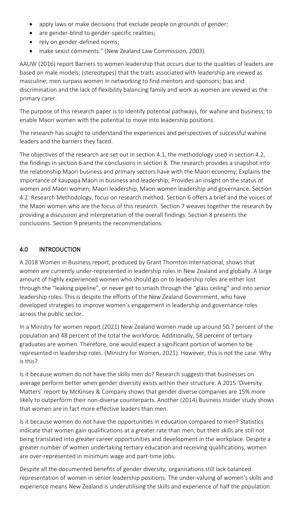- apply laws or make decisions that exclude people on grounds of gender;
- are gender-blind to gender-specific realities;
- rely on gender-defined norms;
- make sexist comments." (New Zealand Law Commission, 2003).

AAUW (2016) report Barriers to women leadership that occurs due to the qualities of leaders are based on male models; (stereotypes) that the traits associated with leadership are viewed as masculine; men surpass women in networking to find mentors and sponsors; bias and discrimination and the lack of flexibility balancing family and work as women are viewed as the primary carer.

The purpose of this research paper is to identify potential pathways, for wahine and business, to enable Maori women with the potential to move into leadership positions.

The research has sought to understand the experiences and perspectives of successful wahine leaders and the barriers they faced.

The objectives of the research are set out in section 4.1, the methodology used in section 4.2, the findings in section 6 and the conclusions in section 8. The research provides a snapshot into the relationship Maori business and primary sectors have with the Maori economy; Explains the importance of kaupapa Maori in business and leadership; Provides an insight on the status of women and Maori women; Maori leadership, Maori women leadership and governance. Section 4.2: Research Methodology, focus on research method. Section 6 offers a brief and the voices of the Maori women who are the focus of this research. Section 7 weaves together the research by providing a discussion and interpretation of the overall findings. Section 8 presents the conclusions. Section 9 presents the recommendations.

## 4.0 INTRODUCTION

A 2018 Women in Business report, produced by Grant Thornton International, shows that women are currently under-represented in leadership roles in New Zealand and globally. A large amount of highly experienced women who should go on to leadership roles are either lost through the "leaking pipeline", or never get to smash through the "glass ceiling" and into senior leadership roles. This is despite the efforts of the New Zealand Government, who have developed strategies to improve women's engagement in leadership and governance roles across the public sector.

In a Ministry for women report (2021) New Zealand women made up around 50.7 percent of the population and 48 percent of the total the workforce. Additionally, 58 percent of tertiary graduates are women. Therefore, one would expect a significant portion of women to be represented in leadership roles. (Ministry for Women, 2021). However, this is not the case. Why is this?

Is it because women do not have the skills men do? Research suggests that businesses on average perform better when gender diversity exists within their structure. A 2015 'Diversity Matters' report by McKinsey & Company shows that gender diverse companies are 15% more likely to outperform their non-diverse counterparts. Another (2014) Business Insider study shows that women are in fact more effective leaders than men.

Is it because women do not have the opportunities in education compared to men? Statistics indicate that women gain qualifications at a greater rate than men, but their skills are still not being translated into greater career opportunities and development in the workplace. Despite a greater number of women undertaking tertiary education and receiving qualifications, women are over-represented in minimum wage and part-time jobs.

Despite all the documented benefits of gender diversity, organisations still lack balanced representation of women in senior leadership positions. The under-valuing of women's skills and experience means New Zealand is underutilising the skills and experience of half the population.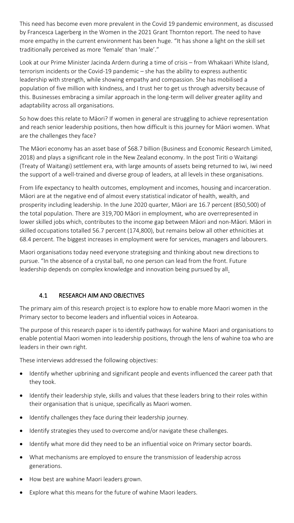This need has become even more prevalent in the Covid 19 pandemic environment, as discussed by Francesca Lagerberg in the Women in the 2021 Grant Thornton report. The need to have more empathy in the current environment has been huge. "It has shone a light on the skill set traditionally perceived as more 'female' than 'male'."

Look at our Prime Minister Jacinda Ardern during a time of crisis – from Whakaari White Island, terrorism incidents or the Covid-19 pandemic – she has the ability to express authentic leadership with strength, while showing empathy and compassion. She has mobilised a population of five million with kindness, and I trust her to get us through adversity because of this. Businesses embracing a similar approach in the long-term will deliver greater agility and adaptability across all organisations.

So how does this relate to Māori? If women in general are struggling to achieve representation and reach senior leadership positions, then how difficult is this journey for Māori women. What are the challenges they face?

The Māori economy has an asset base of \$68.7 billion (Business and Economic Research Limited, 2018) and plays a significant role in the New Zealand economy. In the post Tiriti o Waitangi (Treaty of Waitangi) settlement era, with large amounts of assets being returned to iwi, iwi need the support of a well-trained and diverse group of leaders, at all levels in these organisations.

From life expectancy to health outcomes, employment and incomes, housing and incarceration. Māori are at the negative end of almost every statistical indicator of health, wealth, and prosperity including leadership. In the June 2020 quarter, Māori are 16.7 percent (850,500) of the total population. There are 319,700 Māori in employment, who are overrepresented in lower skilled jobs which, contributes to the income gap between Māori and non-Māori. Māori in skilled occupations totalled 56.7 percent (174,800), but remains below all other ethnicities at 68.4 percent. The biggest increases in employment were for services, managers and labourers.

Maori organisations today need everyone strategising and thinking about new directions to pursue. "In the absence of a crystal ball, no one person can lead from the front. Future leadership depends on complex knowledge and innovation being pursued by all.

## 4.1 RESEARCH AIM AND OBJECTIVES

The primary aim of this research project is to explore how to enable more Maori women in the Primary sector to become leaders and influential voices in Aotearoa.

The purpose of this research paper is to identify pathways for wahine Maori and organisations to enable potential Maori women into leadership positions, through the lens of wahine toa who are leaders in their own right.

These interviews addressed the following objectives:

- Identify whether upbrining and significant people and events influenced the career path that they took.
- Identify their leadership style, skills and values that these leaders bring to their roles within their organisation that is unique, specifically as Maori women.
- Identify challenges they face during their leadership journey.
- Identify strategies they used to overcome and/or navigate these challenges.
- Identify what more did they need to be an influential voice on Primary sector boards.
- What mechanisms are employed to ensure the transmission of leadership across generations.
- How best are wahine Maori leaders grown.
- Explore what this means for the future of wahine Maori leaders.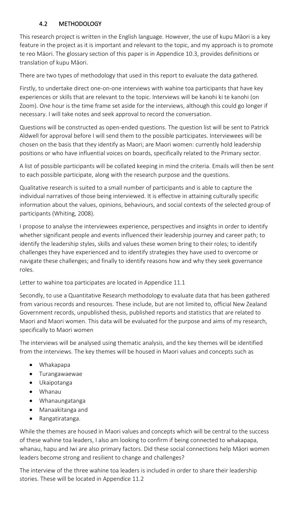## 4.2 METHODOLOGY

This research project is written in the English language. However, the use of kupu Māori is a key feature in the project as it is important and relevant to the topic, and my approach is to promote te reo Māori. The glossary section of this paper is in Appendice 10.3, provides definitions or translation of kupu Māori.

There are two types of methodology that used in this report to evaluate the data gathered.

Firstly, to undertake direct one-on-one interviews with wahine toa participants that have key experiences or skills that are relevant to the topic. Interviews will be kanohi ki te kanohi (on Zoom). One hour is the time frame set aside for the interviews, although this could go longer if necessary. I will take notes and seek approval to record the conversation.

Questions will be constructed as open-ended questions. The question list will be sent to Patrick Aldwell for approval before I will send them to the possible participates. Interviewees will be chosen on the basis that they identify as Maori; are Maori women: currently hold leadership positions or who have influential voices on boards, specifically related to the Primary sector.

A list of possible participants will be collated keeping in mind the criteria. Emails will then be sent to each possible participate, along with the research purpose and the questions.

Qualitative research is suited to a small number of participants and is able to capture the individual narratives of those being interviewed. It is effective in attaining culturally specific information about the values, opinions, behaviours, and social contexts of the selected group of participants (Whiting, 2008).

I propose to analyse the interviewees experience, perspectives and insights in order to identify whether significant people and events influenced their leadership journey and career path; to identify the leadership styles, skills and values these women bring to their roles; to identify challenges they have experienced and to identify strategies they have used to overcome or navigate these challenges; and finally to identify reasons how and why they seek governance roles.

Letter to wahine toa participates are located in Appendice 11.1

Secondly, to use a Quantitative Research methodology to evaluate data that has been gathered from various records and resources. These include, but are not limited to, official New Zealand Government records, unpublished thesis, published reports and statistics that are related to Maori and Maori women. This data will be evaluated for the purpose and aims of my research, specifically to Maori women

The interviews will be analysed using thematic analysis, and the key themes will be identified from the interviews. The key themes will be housed in Maori values and concepts such as

- Whakapapa
- Turangawaewae
- Ukaipotanga
- Whanau
- Whanaungatanga
- Manaakitanga and
- Rangatiratanga.

While the themes are housed in Maori values and concepts which will be central to the success of these wahine toa leaders, I also am looking to confirm if being connected to whakapapa, whanau, hapu and Iwi are also primary factors. Did these social connections help Māori women leaders become strong and resilient to change and challenges?

The interview of the three wahine toa leaders is included in order to share their leadership stories. These will be located in Appendice 11.2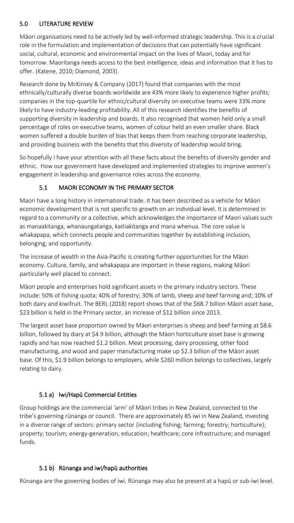## 5.0 LITERATURE REVIEW

Māori organisations need to be actively led by well-informed strategic leadership. This is a crucial role in the formulation and implementation of decisions that can potentially have significant social, cultural, economic and environmental impact on the lives of Maori, today and for tomorrow. Maoritanga needs access to the best intelligence, ideas and information that it has to offer. (Katene, 2010; Diamond, 2003).

Research done by McKinsey & Company (2017) found that companies with the most ethnically/culturally diverse boards worldwide are 43% more likely to experience higher profits; companies in the top-quartile for ethnic/cultural diversity on executive teams were 33% more likely to have industry-leading profitability. All of this research identifies the benefits of supporting diversity in leadership and boards. It also recognised that women held only a small percentage of roles on executive teams, women of colour held an even smaller share. Black women suffered a double burden of bias that keeps them from reaching corporate leadership, and providing business with the benefits that this diversity of leadership would bring.

So hopefully I have your attention with all these facts about the benefits of diversity gender and ethnic. How our government have developed and implemented strategies to improve women's engagement in leadership and governance roles across the economy.

# 5.1 MAORI ECONOMY IN THE PRIMARY SECTOR

Maori have a long history in international trade. It has been described as a vehicle for Māori economic development that is not specific to growth on an individual level. It is determined in regard to a community or a collective, which acknowledges the importance of Maori values such as manaakitanga, whanaungatanga, kaitiakitanga and mana whenua. The core value is whakapapa, which connects people and communities together by establishing inclusion, belonging, and opportunity.

The increase of wealth in the Asia-Pacific is creating further opportunities for the Māori economy. Culture, family, and whakapapa are important in these regions, making Māori particularly well placed to connect.

Māori people and enterprises hold significant assets in the primary industry sectors. These include: 50% of fishing quota; 40% of forestry; 30% of lamb, sheep and beef farming and; 10% of both dairy and kiwifruit. The BERL (2018) report shows that of the \$68.7 billion Māori asset base, \$23 billion is held in the Primary sector, an increase of \$12 billion since 2013.

The largest asset base proportion owned by Māori enterprises is sheep and beef farming at \$8.6 billion, followed by diary at \$4.9 billion, although the Māori horticulture asset base is growing rapidly and has now reached \$1.2 billion. Meat processing, dairy processing, other food manufacturing, and wood and paper manufacturing make up \$2.3 billion of the Māori asset base. Of this, \$1.9 billion belongs to employers, while \$260 million belongs to collectives, largely relating to dairy.

# 5.1 a) Iwi/Hapū Commercial Entities

Group holdings are the commercial 'arm' of Māori tribes in New Zealand, connected to the tribe's governing rūnanga or council. There are approximately 85 iwi in New Zealand, investing in a diverse range of sectors: primary sector (including fishing; farming; forestry; horticulture); property; tourism; energy-generation; education; healthcare; core infrastructure; and managed funds.

## 5.1 b) Rūnanga and iwi/hapū authorities

Rūnanga are the governing bodies of iwi. Rūnanga may also be present at a hapū or sub-iwi level.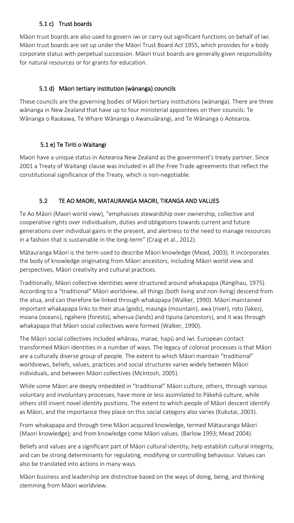## 5.1 c) Trust boards

Māori trust boards are also used to govern iwi or carry out significant functions on behalf of iwi. Māori trust boards are set up under the Māori Trust Board Act 1955, which provides for a body corporate status with perpetual succession. Māori trust boards are generally given responsibility for natural resources or for grants for education.

## 5.1 d) Māori tertiary institution (wānanga) councils

These councils are the governing bodies of Māori tertiary institutions (wānanga). There are three wānanga in New Zealand that have up to four ministerial appointees on their councils: Te Wānanga o Raukawa, Te Whare Wānanga o Awanuiārangi, and Te Wānanga o Aotearoa.

# 5.1 e) Te Tiriti o Waitangi

Maori have a unique status in Aotearoa New Zealand as the government's treaty partner. Since 2001 a Treaty of Waitangi clause was included in all the Free Trade agreements that reflect the constitutional significance of the Treaty, which is non-negotiable.

# 5.2 TE AO MAORI, MATAURANGA MAORI, TIKANGA AND VALUES

Te Ao Māori (Maori world view), "emphasises stewardship over ownership, collective and cooperative rights over individualism, duties and obligations towards current and future generations over individual gains in the present, and alertness to the need to manage resources in a fashion that is sustainable in the long-term" (Craig et al., 2012).

Mātauranga Māori is the term used to describe Māori knowledge (Mead, 2003). It incorporates the body of knowledge originating from Māori ancestors, including Māori world view and perspectives, Māori creativity and cultural practices.

Traditionally, Māori collective identities were structured around whakapapa (Rangihau, 1975). According to a "traditional" Māori worldview, all things (both living and non-living) descend from the atua, and can therefore be linked through whakapapa (Walker, 1990). Māori maintained important whakapapa links to their atua (gods), maunga (mountain), awa (river), roto (lakes), moana (oceans), ngahere (forests), whenua (lands) and tipuna (ancestors), and it was through whakapapa that Māori social collectives were formed (Walker, 1990).

The Māori social collectives included whānau, marae, hapū and iwi. European contact transformed Māori identities in a number of ways. The legacy of colonial processes is that Māori are a culturally diverse group of people. The extent to which Māori maintain "traditional" worldviews, beliefs, values, practices and social structures varies widely between Māori individuals, and between Māori collectives (McIntosh, 2005).

While some Māori are deeply imbedded in "traditional" Māori culture, others, through various voluntary and involuntary processes, have more or less assimilated to Pākehā culture, while others still invent novel identity positions. The extent to which people of Māori descent identify as Māori, and the importance they place on this social category also varies (Kukutai, 2003).

From whakapapa and through time Māori acquired knowledge, termed Mātauranga Māori (Maori knowledge); and from knowledge come Māori values. (Barlow 1993; Mead 2004).

Beliefs and values are a significant part of Māori cultural identity, help establish cultural integrity, and can be strong determinants for regulating, modifying or controlling behaviour. Values can also be translated into actions in many ways.

Māori business and leadership are distinctive based on the ways of doing, being, and thinking stemming from Māori worldview.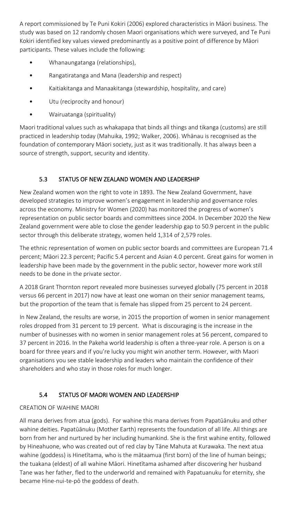A report commissioned by Te Puni Kokiri (2006) explored characteristics in Māori business. The study was based on 12 randomly chosen Maori organisations which were surveyed, and Te Puni Kokiri identified key values viewed predominantly as a positive point of difference by Māori participants. These values include the following:

- Whanaungatanga (relationships),
- Rangatiratanga and Mana (leadership and respect)
- Kaitiakitanga and Manaakitanga (stewardship, hospitality, and care)
- Utu (reciprocity and honour)
- Wairuatanga (spirituality)

Maori traditional values such as whakapapa that binds all things and tikanga (customs) are still practiced in leadership today (Mahuika, 1992; Walker, 2006). Whānau is recognised as the foundation of contemporary Māori society, just as it was traditionally. It has always been a source of strength, support, security and identity.

## 5.3 STATUS OF NEW ZEALAND WOMEN AND LEADERSHIP

New Zealand women won the right to vote in 1893. The New Zealand Government, have developed strategies to improve women's engagement in leadership and governance roles across the economy. Ministry for Women (2020) has monitored the progress of women's representation on public sector boards and committees since 2004. In December 2020 the New Zealand government were able to close the gender leadership gap to 50.9 percent in the public sector through this deliberate strategy, women held 1,314 of 2,579 roles.

The ethnic representation of women on public sector boards and committees are European 71.4 percent; Māori 22.3 percent; Pacific 5.4 percent and Asian 4.0 percent. Great gains for women in leadership have been made by the government in the public sector, however more work still needs to be done in the private sector.

A 2018 Grant Thornton report revealed more businesses surveyed globally (75 percent in 2018 versus 66 percent in 2017) now have at least one woman on their senior management teams, but the proportion of the team that is female has slipped from 25 percent to 24 percent.

In New Zealand, the results are worse, in 2015 the proportion of women in senior management roles dropped from 31 percent to 19 percent. What is discouraging is the increase in the number of businesses with no women in senior management roles at 56 percent, compared to 37 percent in 2016. In the Pakeha world leadership is often a three-year role. A person is on a board for three years and if you're lucky you might win another term. However, with Maori organisations you see stable leadership and leaders who maintain the confidence of their shareholders and who stay in those roles for much longer.

#### 5.4 STATUS OF MAORI WOMEN AND LEADERSHIP

#### CREATION OF WAHINE MAORI

All mana derives from atua (gods). For wahine this mana derives from Papatūānuku and other wahine deities. Papatūānuku (Mother Earth) represents the foundation of all life. All things are born from her and nurtured by her including humankind. She is the first wahine entity, followed by Hineahuone, who was created out of red clay by Tāne Mahuta at Kurawaka. The next atua wahine (goddess) is Hinetītama, who is the mātaamua (first born) of the line of human beings; the tuakana (eldest) of all wahine Māori. Hinetītama ashamed after discovering her husband Tane was her father, fled to the underworld and remained with Papatuanuku for eternity, she became Hine-nui-te-pō the goddess of death.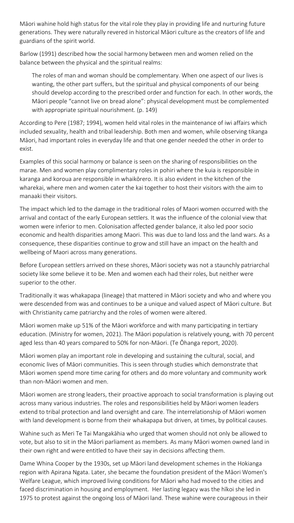Māori wahine hold high status for the vital role they play in providing life and nurturing future generations. They were naturally revered in historical Māori culture as the creators of life and guardians of the spirit world.

Barlow (1991) described how the social harmony between men and women relied on the balance between the physical and the spiritual realms:

The roles of man and woman should be complementary. When one aspect of our lives is wanting, the other part suffers, but the spiritual and physical components of our being should develop according to the prescribed order and function for each. In other words, the Māori people "cannot live on bread alone": physical development must be complemented with appropriate spiritual nourishment. (p. 149)

According to Pere (1987; 1994), women held vital roles in the maintenance of iwi affairs which included sexuality, health and tribal leadership. Both men and women, while observing tikanga Māori, had important roles in everyday life and that one gender needed the other in order to exist.

Examples of this social harmony or balance is seen on the sharing of responsibilities on the marae. Men and women play complimentary roles in pohiri where the kuia is responsible in karanga and koroua are responsible in whaikōrero. It is also evident in the kitchen of the wharekai, where men and women cater the kai together to host their visitors with the aim to manaaki their visitors.

The impact which led to the damage in the traditional roles of Maori women occurred with the arrival and contact of the early European settlers. It was the influence of the colonial view that women were inferior to men. Colonisation affected gender balance, it also led poor socio economic and health disparities among Maori. This was due to land loss and the land wars. As a consequence, these disparities continue to grow and still have an impact on the health and wellbeing of Maori across many generations.

Before European settlers arrived on these shores, Māori society was not a staunchly patriarchal society like some believe it to be. Men and women each had their roles, but neither were superior to the other.

Traditionally it was whakapapa (lineage) that mattered in Māori society and who and where you were descended from was and continues to be a unique and valued aspect of Māori culture. But with Christianity came patriarchy and the roles of women were altered.

Māori women make up 51% of the Māori workforce and with many participating in tertiary education. (Ministry for women, 2021). The Māori population is relatively young, with 70 percent aged less than 40 years compared to 50% for non-Māori. (Te Ōhanga report, 2020).

Māori women play an important role in developing and sustaining the cultural, social, and economic lives of Māori communities. This is seen through studies which demonstrate that Māori women spend more time caring for others and do more voluntary and community work than non-Māori women and men.

Māori women are strong leaders, their proactive approach to social transformation is playing out across many various industries. The roles and responsibilities held by Māori women leaders extend to tribal protection and land oversight and care. The interrelationship of Māori women with land development is borne from their whakapapa but driven, at times, by political causes.

Wahine such as Meri Te Tai Mangakāhia who urged that women should not only be allowed to vote, but also to sit in the Māori parliament as members. As many Māori women owned land in their own right and were entitled to have their say in decisions affecting them.

Dame Whina Cooper by the 1930s, set up Māori land development schemes in the Hokianga region with Apirana Ngata. Later, she became the foundation president of the Māori Women's Welfare League, which improved living conditions for Māori who had moved to the cities and faced discrimination in housing and employment. Her lasting legacy was the hīkoi she led in 1975 to protest against the ongoing loss of Māori land. These wahine were courageous in their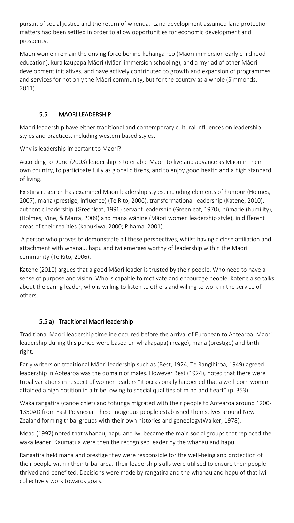pursuit of social justice and the return of whenua. Land development assumed land protection matters had been settled in order to allow opportunities for economic development and prosperity.

Māori women remain the driving force behind kōhanga reo (Māori immersion early childhood education), kura kaupapa Māori (Māori immersion schooling), and a myriad of other Māori development initiatives, and have actively contributed to growth and expansion of programmes and services for not only the Māori community, but for the country as a whole (Simmonds, 2011).

# 5.5 MAORI LEADERSHIP

Maori leadership have either traditional and contemporary cultural influences on leadership styles and practices, including western based styles.

Why is leadership important to Maori?

According to Durie (2003) leadership is to enable Maori to live and advance as Maori in their own country, to participate fully as global citizens, and to enjoy good health and a high standard of living.

Existing research has examined Māori leadership styles, including elements of humour (Holmes, 2007), mana (prestige, influence) (Te Rito, 2006), transformational leadership (Katene, 2010), authentic leadership (Greenleaf, 1996) servant leadership (Greenleaf, 1970), hūmarie (humility), (Holmes, Vine, & Marra, 2009) and mana wāhine (Māori women leadership style), in different areas of their realities (Kahukiwa, 2000; Pihama, 2001).

A person who proves to demonstrate all these perspectives, whilst having a close affiliation and attachment with whanau, hapu and iwi emerges worthy of leadership within the Maori community (Te Rito, 2006).

Katene (2010) argues that a good Māori leader is trusted by their people. Who need to have a sense of purpose and vision. Who is capable to motivate and encourage people. Katene also talks about the caring leader, who is willing to listen to others and willing to work in the service of others.

## 5.5 a) Traditional Maori leadership

Traditional Maori leadership timeline occured before the arrival of European to Aotearoa. Maori leadership during this period were based on whakapapa(lineage), mana (prestige) and birth right.

Early writers on traditional Māori leadership such as (Best, 1924; Te Rangihiroa, 1949) agreed leadership in Aotearoa was the domain of males. However Best (1924), noted that there were tribal variations in respect of women leaders "it occasionally happened that a well-born woman attained a high position in a tribe, owing to special qualities of mind and heart" (p. 353).

Waka rangatira (canoe chief) and tohunga migrated with their people to Aotearoa around 1200- 1350AD from East Polynesia. These indigeous people established themselves around New Zealand forming tribal groups with their own histories and geneology(Walker, 1978).

Mead (1997) noted that whanau, hapu and Iwi became the main social groups that replaced the waka leader. Kaumatua were then the recognised leader by the whanau and hapu.

Rangatira held mana and prestige they were responsible for the well-being and protection of their people within their tribal area. Their leadership skills were utilised to ensure their people thrived and benefited. Decisions were made by rangatira and the whanau and hapu of that iwi collectively work towards goals.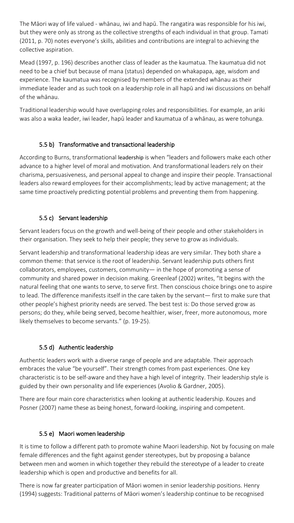The Māori way of life valued - whānau, iwi and hapū. The rangatira was responsible for his iwi, but they were only as strong as the collective strengths of each individual in that group. Tamati (2011, p. 70) notes everyone's skills, abilities and contributions are integral to achieving the collective aspiration.

Mead (1997, p. 196) describes another class of leader as the kaumatua. The kaumatua did not need to be a chief but because of mana (status) depended on whakapapa, age, wisdom and experience. The kaumatua was recognised by members of the extended whānau as their immediate leader and as such took on a leadership role in all hapū and iwi discussions on behalf of the whānau.

Traditional leadership would have overlapping roles and responsibilities. For example, an ariki was also a waka leader, iwi leader, hapū leader and kaumatua of a whānau, as were tohunga.

## 5.5 b) Transformative and transactional leadership

According to Burns, transformational leadership is when "leaders and followers make each other advance to a higher level of moral and motivation. And transformational leaders rely on their charisma, persuasiveness, and personal appeal to change and inspire their people. Transactional leaders also reward employees for their accomplishments; lead by active management; at the same time proactively predicting potential problems and preventing them from happening.

# 5.5 c) Servant leadership

Servant leaders focus on the growth and well-being of their people and other stakeholders in their organisation. They seek to help their people; they serve to grow as individuals.

Servant leadership and transformational leadership ideas are very similar. They both share a common theme: that service is the root of leadership. Servant leadership puts others first collaborators, employees, customers, community— in the hope of promoting a sense of community and shared power in decision making. Greenleaf (2002) writes, "It begins with the natural feeling that one wants to serve, to serve first. Then conscious choice brings one to aspire to lead. The difference manifests itself in the care taken by the servant— first to make sure that other people's highest priority needs are served. The best test is: Do those served grow as persons; do they, while being served, become healthier, wiser, freer, more autonomous, more likely themselves to become servants." (p. 19-25).

# 5.5 d) Authentic leadership

Authentic leaders work with a diverse range of people and are adaptable. Their approach embraces the value "be yourself". Their strength comes from past experiences. One key characteristic is to be self-aware and they have a high level of integrity. Their leadership style is guided by their own personality and life experiences (Avolio & Gardner, 2005).

There are four main core characteristics when looking at authentic leadership. Kouzes and Posner (2007) name these as being honest, forward-looking, inspiring and competent.

## 5.5 e) Maori women leadership

It is time to follow a different path to promote wahine Maori leadership. Not by focusing on male female differences and the fight against gender stereotypes, but by proposing a balance between men and women in which together they rebuild the stereotype of a leader to create leadership which is open and productive and benefits for all.

There is now far greater participation of Māori women in senior leadership positions. Henry (1994) suggests: Traditional patterns of Māori women's leadership continue to be recognised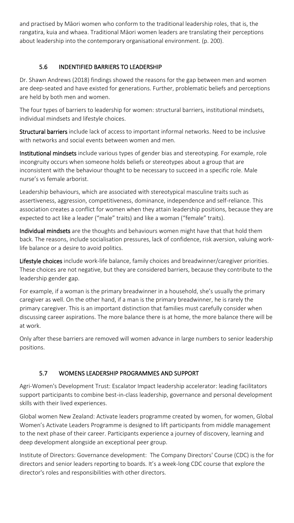and practised by Māori women who conform to the traditional leadership roles, that is, the rangatira, kuia and whaea. Traditional Māori women leaders are translating their perceptions about leadership into the contemporary organisational environment. (p. 200).

# 5.6 INDENTIFIED BARRIERS TO LEADERSHIP

Dr. Shawn Andrews (2018) findings showed the reasons for the gap between men and women are deep-seated and have existed for generations. Further, problematic beliefs and perceptions are held by both men and women.

The four types of barriers to leadership for women: structural barriers, institutional mindsets, individual mindsets and lifestyle choices.

Structural barriers include lack of access to important informal networks. Need to be inclusive with networks and social events between women and men.

Institutional mindsets include various types of gender bias and stereotyping. For example, role incongruity occurs when someone holds beliefs or stereotypes about a group that are inconsistent with the behaviour thought to be necessary to succeed in a specific role. Male nurse's vs female arborist.

Leadership behaviours, which are associated with stereotypical masculine traits such as assertiveness, aggression, competitiveness, dominance, independence and self-reliance. This association creates a conflict for women when they attain leadership positions, because they are expected to act like a leader ("male" traits) and like a woman ("female" traits).

Individual mindsets are the thoughts and behaviours women might have that that hold them back. The reasons, include socialisation pressures, lack of confidence, risk aversion, valuing worklife balance or a desire to avoid politics.

Lifestyle choices include work-life balance, family choices and breadwinner/caregiver priorities. These choices are not negative, but they are considered barriers, because they contribute to the leadership gender gap.

For example, if a woman is the primary breadwinner in a household, she's usually the primary caregiver as well. On the other hand, if a man is the primary breadwinner, he is rarely the primary caregiver. This is an important distinction that families must carefully consider when discussing career aspirations. The more balance there is at home, the more balance there will be at work.

Only after these barriers are removed will women advance in large numbers to senior leadership positions.

## 5.7 WOMENS LEADERSHIP PROGRAMMES AND SUPPORT

Agri-Women's Development Trust: Escalator Impact leadership accelerator: leading facilitators support participants to combine best-in-class leadership, governance and personal development skills with their lived experiences.

Global women New Zealand: Activate leaders programme created by women, for women, Global Women's Activate Leaders Programme is designed to lift participants from middle management to the next phase of their career. Participants experience a journey of discovery, learning and deep development alongside an exceptional peer group.

Institute of Directors: Governance development: The Company Directors' Course (CDC) is the for directors and senior leaders reporting to boards. It's a week-long CDC course that explore the director's roles and responsibilities with other directors.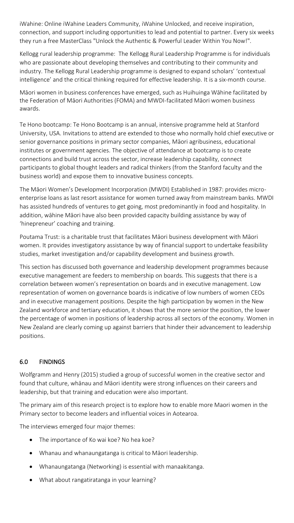iWahine: Online iWahine Leaders Community, iWahine Unlocked, and receive inspiration, connection, and support including opportunities to lead and potential to partner. Every six weeks they run a free MasterClass "Unlock the Authentic & Powerful Leader Within You Now!".

Kellogg rural leadership programme: The Kellogg Rural Leadership Programme is for individuals who are passionate about developing themselves and contributing to their community and industry. The Kellogg Rural Leadership programme is designed to expand scholars' 'contextual intelligence' and the critical thinking required for effective leadership. It is a six-month course.

Māori women in business conferences have emerged, such as Huihuinga Wāhine facilitated by the Federation of Māori Authorities (FOMA) and MWDI-facilitated Māori women business awards.

Te Hono bootcamp: Te Hono Bootcamp is an annual, intensive programme held at Stanford University, USA. Invitations to attend are extended to those who normally hold chief executive or senior governance positions in primary sector companies, Māori agribusiness, educational institutes or government agencies. The objective of attendance at bootcamp is to create connections and build trust across the sector, increase leadership capability, connect participants to global thought leaders and radical thinkers (from the Stanford faculty and the business world) and expose them to innovative business concepts.

The Māori Women's Development Incorporation (MWDI) Established in 1987: provides microenterprise loans as last resort assistance for women turned away from mainstream banks. MWDI has assisted hundreds of ventures to get going, most predominantly in food and hospitality. In addition, wāhine Māori have also been provided capacity building assistance by way of 'hinepreneur' coaching and training.

Poutama Trust: is a charitable trust that facilitates Māori business development with Māori women. It provides investigatory assistance by way of financial support to undertake feasibility studies, market investigation and/or capability development and business growth.

This section has discussed both governance and leadership development programmes because executive management are feeders to membership on boards. This suggests that there is a correlation between women's representation on boards and in executive management. Low representation of women on governance boards is indicative of low numbers of women CEOs and in executive management positions. Despite the high participation by women in the New Zealand workforce and tertiary education, it shows that the more senior the position, the lower the percentage of women in positions of leadership across all sectors of the economy. Women in New Zealand are clearly coming up against barriers that hinder their advancement to leadership positions.

## 6.0 FINDINGS

Wolfgramm and Henry (2015) studied a group of successful women in the creative sector and found that culture, whānau and Māori identity were strong influences on their careers and leadership, but that training and education were also important.

The primary aim of this research project is to explore how to enable more Maori women in the Primary sector to become leaders and influential voices in Aotearoa.

The interviews emerged four major themes:

- The importance of Ko wai koe? No hea koe?
- Whanau and whanaungatanga is critical to Māori leadership.
- Whanaungatanga (Networking) is essential with manaakitanga.
- What about rangatiratanga in your learning?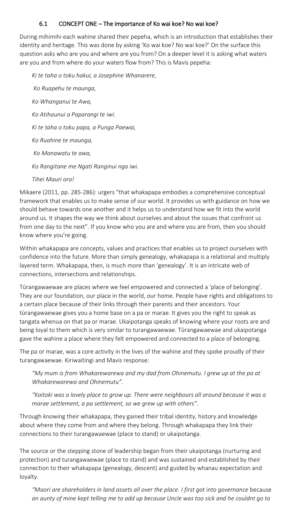## 6.1 CONCEPT ONE – The importance of Ko wai koe? No wai koe?

During mihimihi each wahine shared their pepeha, which is an introduction that establishes their identity and heritage. This was done by asking 'Ko wai koe? No wai koe?' On the surface this question asks who are you and where are you from? On a deeper level it is asking what waters are you and from where do your waters flow from? This is Mavis pepeha:

*Ki te taha o toku hakui, a Josephine Whanarere, Ko Ruapehu te maunga, Ko Whanganui te Awa, Ko Atihaunui a Paparangi te iwi. Ki te taha o toku papa, a Punga Paewai, Ko Ruahine te maunga, Ko Manawatu te awa, Ko Rangitane me Ngati Ranginui nga iwi.* 

*Tihei Mauri ora!*

Mikaere (2011, pp. 285-286): urgers "that whakapapa embodies a comprehensive conceptual framework that enables us to make sense of our world. It provides us with guidance on how we should behave towards one another and it helps us to understand how we fit into the world around us. It shapes the way we think about ourselves and about the issues that confront us from one day to the next". If you know who you are and where you are from, then you should know where you're going.

Within whakapapa are concepts, values and practices that enables us to project ourselves with confidence into the future. More than simply genealogy, whakapapa is a relational and multiply layered term. Whakapapa, then, is much more than 'genealogy'. It is an intricate web of connections, intersections and relationships.

Tūrangawaewae are places where we feel empowered and connected a 'place of belonging'. They are our foundation, our place in the world, our home. People have rights and obligations to a certain place because of their links through their parents and their ancestors. Your tūrangawaewae gives you a home base on a pa or marae. It gives you the right to speak as tangata whenua on that pa or marae*.* Ukaipotanga speaks of knowing where your roots are and being loyal to them which is very similar to turangawaewae. Tūrangawaewae and ukaipotanga gave the wahine a place where they felt empowered and connected to a place of belonging.

The pa or marae, was a core activity in the lives of the wahine and they spoke proudly of their turangawaewae. Kiriwaitingi and Mavis response:

*"My mum is from Whakarewarewa and my dad from Ohinemutu. I grew up at the pa at Whakarewarewa and Ohinemutu".* 

*"Kaitoki was a lovely place to grow up. There were neighbours all around because it was a marae settlement, a pa settlement, so we grew up with others".*

Through knowing their whakapapa, they gained their tribal identity, history and knowledge about where they come from and where they belong. Through whakapapa they link their connections to their turangawaewae (place to stand) or ukaipotanga.

The source or the stepping stone of leadership began from their ukaipotanga (nurturing and protection) and turangawaewae (place to stand) and was sustained and established by their connection to their whakapapa (genealogy, descent) and guided by whanau expectation and loyalty.

*"Maori are shareholders in land assets all over the place. I first got into governance* because *an aunty of mine kept telling me to add up because Uncle was too sick and he couldnt go to*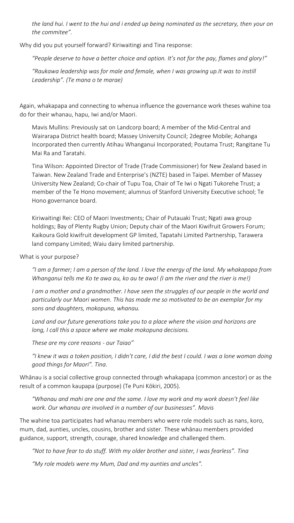*the land hui. I went to the hui and i ended up being nominated as the secretary, then your on the commitee".*

Why did you put yourself forward? Kiriwaitingi and Tina response:

*"People deserve to have a better choice and option. It's not for the pay, flames and glory!"*

*"Raukawa leadership was for male and female, when I was growing up.It was to instill Leadership". (Te mana o te marae)*

Again, whakapapa and connecting to whenua influence the governance work theses wahine toa do for their whanau, hapu, Iwi and/or Maori.

Mavis Mullins: Previously sat on Landcorp board; A member of the Mid-Central and Wairarapa District health board; Massey University Council; 2degree Mobile; Aohanga Incorporated then currently Atihau Whanganui Incorporated; Poutama Trust; Rangitane Tu Mai Ra and Taratahi.

Tina Wilson: Appointed Director of Trade (Trade Commissioner) for New Zealand based in Taiwan. New Zealand Trade and Enterprise's (NZTE) based in Taipei. Member of Massey University New Zealand; Co-chair of Tupu Toa, Chair of Te Iwi o Ngati Tukorehe Trust; a member of the Te Hono movement; alumnus of Stanford University Executive school; Te Hono governance board.

Kiriwaitingi Rei: CEO of Maori Investments; Chair of Putauaki Trust; Ngati awa group holdings; Bay of Plenty Rugby Union; Deputy chair of the Maori Kiwifruit Growers Forum; Kaikoura Gold kiwifruit development GP limited, Tapatahi Limited Partnership, Tarawera land company Limited; Waiu dairy limited partnership.

What is your purpose?

*"I am a farmer; I am a person of the land. I love the energy of the land. My whakapapa from Whanganui tells me Ko te awa au, ko au te awa! (I am the river and the river is me!)* 

*I am a mother and a grandmother. I have seen the struggles of our people in the world and particularly our Maori women. This has made me so motivated to be an exemplar for my sons and daughters, mokopuna, whanau.*

*Land and our future generations take you to a place where the vision and horizons are long, I call this a space where we make mokopuna decisions.*

*These are my core reasons - our Taiao"* 

*"I knew it was a token position, I didn't care, I did the best I could. I was a lone woman doing good things for Maori". Tina.*

Whānau is a social collective group connected through whakapapa (common ancestor) or as the result of a common kaupapa (purpose) (Te Puni Kōkiri, 2005).

*"Whanau and mahi are one and the same. I love my work and my work doesn't feel like work. Our whanau are involved in a number of our businesses". Mavis*

The wahine toa participates had whanau members who were role models such as nans, koro, mum, dad, aunties, uncles, cousins, brother and sister. These whānau members provided guidance, support, strength, courage, shared knowledge and challenged them.

*"Not to have fear to do stuff. With my older brother and sister, I was fearless". Tina*

*"My role models were my Mum, Dad and my aunties and uncles".*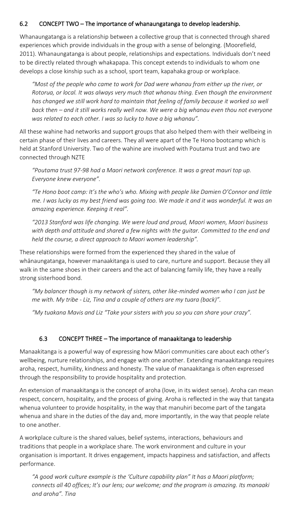## 6.2 CONCEPT TWO – The importance of whanaungatanga to develop leadership.

Whanaungatanga is a relationship between a collective group that is connected through shared experiences which provide individuals in the group with a sense of belonging. (Moorefield, 2011). Whanaungatanga is about people, relationships and expectations. Individuals don't need to be directly related through whakapapa. This concept extends to individuals to whom one develops a close kinship such as a school, sport team, kapahaka group or workplace.

*"Most of the people who came to work for Dad were whanau from either up the river, or Rotorua, or local. It was always very much that whanau thing. Even though the environment has changed we still work hard to maintain that feeling of family because it worked so well back then – and it still works really well now. We were a big whanau even thou not everyone was related to each other. I was so lucky to have a big whanau".*

All these wahine had networks and support groups that also helped them with their wellbeing in certain phase of their lives and careers. They all were apart of the Te Hono bootcamp which is held at Stanford University. Two of the wahine are involved with Poutama trust and two are connected through NZTE

*"Poutama trust 97-98 had a Maori network conference. It was a great mauri top up. Everyone knew everyone".* 

*"Te Hono boot camp: It's the who's who. Mixing with people like Damien O'Connor and little me. I was lucky as my best friend was going too. We made it and it was wonderful. It was an amazing experience. Keeping it real".* 

*"2013 Stanford was life changing. We were loud and proud, Maori women, Maori business with depth and attitude and shared a few nights with the guitar. Committed to the end and held the course, a direct approach to Maori women leadership".*

These relationships were formed from the experienced they shared in the value of whānaungatanga, however manaakitanga is used to care, nurture and support. Because they all walk in the same shoes in their careers and the act of balancing family life, they have a really strong sisterhood bond.

*"My balancer though is my network of sisters, other like-minded women who I can just be me with. My tribe - Liz, Tina and a couple of others are my tuara (back)".*

*"My tuakana Mavis and Liz "Take your sisters with you so you can share your crazy".* 

## 6.3 CONCEPT THREE – The importance of manaakitanga to leadership

Manaakitanga is a powerful way of expressing how Māori communities care about each other's wellbeing, nurture relationships, and engage with one another. Extending manaakitanga requires aroha, respect, humility, kindness and honesty. The value of manaakitanga is often expressed through the responsibility to provide hospitality and protection.

An extension of manaakitanga is the concept of aroha (love, in its widest sense). Aroha can mean respect, concern, hospitality, and the process of giving. Aroha is reflected in the way that tangata whenua volunteer to provide hospitality, in the way that manuhiri become part of the tangata whenua and share in the duties of the day and, more importantly, in the way that people relate to one another.

A workplace culture is the shared values, belief systems, interactions, behaviours and traditions that people in a workplace share. The work environment and culture in your organisation is important. It drives engagement, impacts happiness and satisfaction, and affects performance.

*"A good work culture example is the 'Culture capability plan" It has a Maori platform; connects all 40 offices; It's our lens; our welcome; and the program is amazing. Its manaaki and aroha". Tina*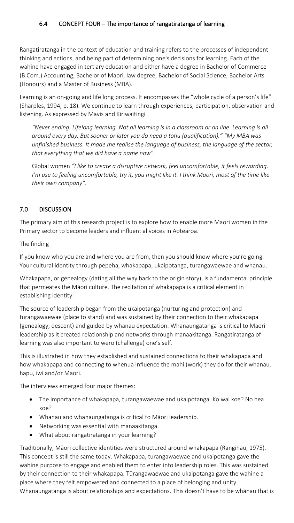Rangatiratanga in the context of education and training refers to the processes of independent thinking and actions, and being part of determining one's decisions for learning. Each of the wahine have engaged in tertiary education and either have a degree in Bachelor of Commerce (B.Com.) Accounting, Bachelor of Maori, law degree, Bachelor of Social Science, Bachelor Arts (Honours) and a Master of Business (MBA).

Learning is an on-going and life long process. It encompasses the "whole cycle of a person's life" (Sharples, 1994, p. 18). We continue to learn through experiences, participation, observation and listening. As expressed by Mavis and Kiriwaitingi

*"Never ending. Lifelong learning. Not all learning is in a classroom or on line. Learning is all around every day. But sooner or later you do need a tohu (qualification)." "My MBA was unfinished business. It made me realise the language of business, the language of the sector, that everything that we did have a name now".* 

Global women *"I like to create a disruptive network, feel uncomfortable, it feels rewarding. I'm use to feeling uncomfortable, try it, you might like it. I think Maori, most of the time like their own company".* 

# 7.0 DISCUSSION

The primary aim of this research project is to explore how to enable more Maori women in the Primary sector to become leaders and influential voices in Aotearoa.

The finding

If you know who you are and where you are from, then you should know where you're going. Your cultural identity through pepeha, whakapapa, ukaipotanga, turangawaewae and whanau.

Whakapapa, or genealogy (dating all the way back to the origin story), is a fundamental principle that permeates the Māori culture. The recitation of whakapapa is a critical element in establishing identity.

The source of leadership began from the ukaipotanga (nurturing and protection) and turangawaewae (place to stand) and was sustained by their connection to their whakapapa (genealogy, descent) and guided by whanau expectation. Whanaungatanga is critical to Maori leadership as it created relationship and networks through manaakitanga. Rangatiratanga of learning was also important to wero (challenge) one's self.

This is illustrated in how they established and sustained connections to their whakapapa and how whakapapa and connecting to whenua influence the mahi (work) they do for their whanau, hapu, iwi and/or Maori.

The interviews emerged four major themes:

- The importance of whakapapa, turangawaewae and ukaipotanga. Ko wai koe? No hea koe?
- Whanau and whanaungatanga is critical to Māori leadership.
- Networking was essential with manaakitanga.
- What about rangatiratanga in your learning?

Traditionally, Māori collective identities were structured around whakapapa (Rangihau, 1975). This concept is still the same today. Whakapapa, turangawaewae and ukaipotanga gave the wahine purpose to engage and enabled them to enter into leadership roles. This was sustained by their connection to their whakapapa. Tūrangawaewae and ukaipotanga gave the wahine a place where they felt empowered and connected to a place of belonging and unity. Whanaungatanga is about relationships and expectations. This doesn't have to be whānau that is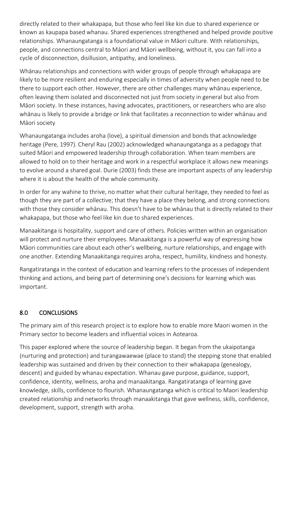directly related to their whakapapa, but those who feel like kin due to shared experience or known as kaupapa based whanau. Shared experiences strengthened and helped provide positive relationships. Whanaungatanga is a foundational value in Māori culture. With relationships, people, and connections central to Māori and Māori wellbeing, without it, you can fall into a cycle of disconnection, disillusion, antipathy, and loneliness.

Whānau relationships and connections with wider groups of people through whakapapa are likely to be more resilient and enduring especially in times of adversity when people need to be there to support each other. However, there are other challenges many whānau experience, often leaving them isolated and disconnected not just from society in general but also from Māori society. In these instances, having advocates, practitioners, or researchers who are also whānau is likely to provide a bridge or link that facilitates a reconnection to wider whānau and Māori society

Whanaungatanga includes aroha (love), a spiritual dimension and bonds that acknowledge heritage (Pere, 1997). Cheryl Rau (2002) acknowledged whanaungatanga as a pedagogy that suited Māori and empowered leadership through collaboration. When team members are allowed to hold on to their heritage and work in a respectful workplace it allows new meanings to evolve around a shared goal. Durie (2003) finds these are important aspects of any leadership where it is about the health of the whole community.

In order for any wahine to thrive, no matter what their cultural heritage, they needed to feel as though they are part of a collective; that they have a place they belong, and strong connections with those they consider whānau. This doesn't have to be whānau that is directly related to their whakapapa, but those who feel like kin due to shared experiences.

Manaakitanga is hospitality, support and care of others. Policies written within an organisation will protect and nurture their employees. Manaakitanga is a powerful way of expressing how Māori communities care about each other's wellbeing, nurture relationships, and engage with one another. Extending Manaakitanga requires aroha, respect, humility, kindness and honesty.

Rangatiratanga in the context of education and learning refers to the processes of independent thinking and actions, and being part of determining one's decisions for learning which was important.

## 8.0 CONCLUSIONS

The primary aim of this research project is to explore how to enable more Maori women in the Primary sector to become leaders and influential voices in Aotearoa.

This paper explored where the source of leadership began. It began from the ukaipotanga (nurturing and protection) and turangawaewae (place to stand) the stepping stone that enabled leadership was sustained and driven by their connection to their whakapapa (genealogy, descent) and guided by whanau expectation. Whanau gave purpose, guidance, support, confidence, identity, wellness, aroha and manaakitanga. Rangatiratanga of learning gave knowledge, skills, confidence to flourish. Whanaungatanga which is critical to Maori leadership created relationship and networks through manaakitanga that gave wellness, skills, confidence, development, support, strength with aroha.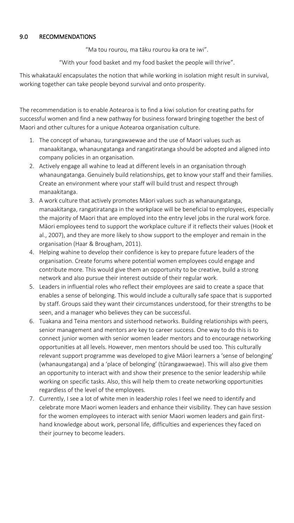#### 9.0 RECOMMENDATIONS

"Ma tou rourou, ma tāku rourou ka ora te iwi".

"With your food basket and my food basket the people will thrive".

This whakataukī encapsulates the notion that while working in isolation might result in survival, working together can take people beyond survival and onto prosperity.

The recommendation is to enable Aotearoa is to find a kiwi solution for creating paths for successful women and find a new pathway for business forward bringing together the best of Maori and other cultures for a unique Aotearoa organisation culture.

- 1. The concept of whanau, turangawaewae and the use of Maori values such as manaakitanga, whanaungatanga and rangatiratanga should be adopted and aligned into company policies in an organisation.
- 2. Actively engage all wahine to lead at different levels in an organisation through whanaungatanga. Genuinely build relationships, get to know your staff and their families. Create an environment where your staff will build trust and respect through manaakitanga.
- 3. A work culture that actively promotes Māori values such as whanaungatanga, manaakitanga, rangatiratanga in the workplace will be beneficial to employees, especially the majority of Maori that are employed into the entry level jobs in the rural work force. Māori employees tend to support the workplace culture if it reflects their values (Hook et al., 2007), and they are more likely to show support to the employer and remain in the organisation (Haar & Brougham, 2011).
- 4. Helping wahine to develop their confidence is key to prepare future leaders of the organisation. Create forums where potential women employees could engage and contribute more. This would give them an opportunity to be creative, build a strong network and also pursue their interest outside of their regular work.
- 5. Leaders in influential roles who reflect their employees are said to create a space that enables a sense of belonging. This would include a culturally safe space that is supported by staff. Groups said they want their circumstances understood, for their strengths to be seen, and a manager who believes they can be successful.
- 6. Tuakana and Teina mentors and sisterhood networks. Building relationships with peers, senior management and mentors are key to career success. One way to do this is to connect junior women with senior women leader mentors and to encourage networking opportunities at all levels. However, men mentors should be used too. This culturally relevant support programme was developed to give Māori learners a 'sense of belonging' (whanaungatanga) and a 'place of belonging' (tūrangawaewae). This will also give them an opportunity to interact with and show their presence to the senior leadership while working on specific tasks. Also, this will help them to create networking opportunities regardless of the level of the employees.
- 7. Currently, I see a lot of white men in leadership roles I feel we need to identify and celebrate more Maori women leaders and enhance their visibility. They can have session for the women employees to interact with senior Maori women leaders and gain firsthand knowledge about work, personal life, difficulties and experiences they faced on their journey to become leaders.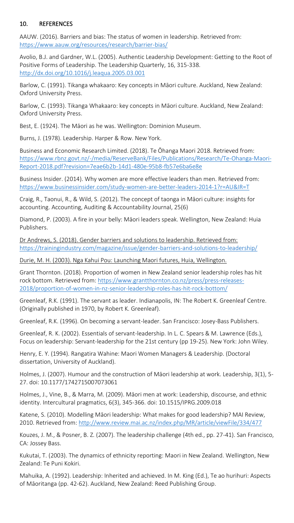## 10. REFERENCES

AAUW. (2016). Barriers and bias: The status of women in leadership. Retrieved from: <https://www.aauw.org/resources/research/barrier-bias/>

Avolio, B.J. and Gardner, W.L. (2005). Authentic Leadership Development: Getting to the Root of Positive Forms of Leadership. The Leadership Quarterly, 16, 315-338. <http://dx.doi.org/10.1016/j.leaqua.2005.03.001>

Barlow, C. (1991). Tikanga whakaaro: Key concepts in Māori culture. Auckland, New Zealand: Oxford University Press.

Barlow, C. (1993). Tikanga Whakaaro: key concepts in Māori culture. Auckland, New Zealand: Oxford University Press.

Best, E. (1924). The Māori as he was. Wellington: Dominion Museum.

Burns, J. (1978). Leadership. Harper & Row. New York.

Business and Economic Research Limited. (2018). Te Ōhanga Maori 2018. Retrieved from: [https://www.rbnz.govt.nz/-/media/ReserveBank/Files/Publications/Research/Te-Ohanga-Maori-](https://www.rbnz.govt.nz/-/media/ReserveBank/Files/Publications/Research/Te-Ohanga-Maori-Report-2018.pdf?revision=7eae6b2b-14d1-480e-95b8-fb57e6ba6e8e)[Report-2018.pdf?revision=7eae6b2b-14d1-480e-95b8-fb57e6ba6e8e](https://www.rbnz.govt.nz/-/media/ReserveBank/Files/Publications/Research/Te-Ohanga-Maori-Report-2018.pdf?revision=7eae6b2b-14d1-480e-95b8-fb57e6ba6e8e)

Business Insider. (2014). Why women are more effective leaders than men. Retrieved from: <https://www.businessinsider.com/study-women-are-better-leaders-2014-1?r=AU&IR=T>

Craig, R., Taonui, R., & Wild, S. (2012). The concept of taonga in Māori culture: insights for accounting. Accounting, Auditing & Accountability Journal, 25(6)

Diamond, P. (2003). A fire in your belly: Māori leaders speak. Wellington, New Zealand: Huia Publishers.

Dr Andrews, S. (2018). Gender barriers and solutions to leadership. Retrieved from: <https://trainingindustry.com/magazine/issue/gender-barriers-and-solutions-to-leadership/>

Durie, M. H. (2003). Nga Kahui Pou: Launching Maori futures, Huia, Wellington.

Grant Thornton. (2018). Proportion of women in New Zealand senior leadership roles has hit rock bottom. Retrieved from: [https://www.grantthornton.co.nz/press/press-releases-](https://www.grantthornton.co.nz/press/press-releases-2018/proportion-of-women-in-nz-senior-leadership-roles-has-hit-rock-bottom/)[2018/proportion-of-women-in-nz-senior-leadership-roles-has-hit-rock-bottom/](https://www.grantthornton.co.nz/press/press-releases-2018/proportion-of-women-in-nz-senior-leadership-roles-has-hit-rock-bottom/)

Greenleaf, R.K. (1991). The servant as leader. Indianapolis, IN: The Robert K. Greenleaf Centre. (Originally published in 1970, by Robert K. Greenleaf).

Greenleaf, R.K. (1996). On becoming a servant-leader. San Francisco: Josey-Bass Publishers.

Greenleaf, R. K. (2002). Essentials of servant-leadership. In L. C. Spears & M. Lawrence (Eds.), Focus on leadership: Servant-leadership for the 21st century (pp 19-25). New York: John Wiley.

Henry, E. Y. (1994). Rangatira Wahine: Maori Women Managers & Leadership. (Doctoral dissertation, University of Auckland).

Holmes, J. (2007). Humour and the construction of Māori leadership at work. Leadership, 3(1), 5- 27. doi: 10.1177/1742715007073061

Holmes, J., Vine, B., & Marra, M. (2009). Māori men at work: Leadership, discourse, and ethnic identity. Intercultural pragmatics, 6(3), 345-366. doi: 10.1515/IPRG.2009.018

Katene, S. (2010). Modelling Māori leadership: What makes for good leadership? MAI Review, 2010. Retrieved from:<http://www.review.mai.ac.nz/index.php/MR/article/viewFile/334/477>

Kouzes, J. M., & Posner, B. Z. (2007). The leadership challenge (4th ed., pp. 27-41). San Francisco, CA: Jossey Bass.

Kukutai, T. (2003). The dynamics of ethnicity reporting: Maori in New Zealand. Wellington, New Zealand: Te Puni Kokiri.

Mahuika, A. (1992). Leadership: Inherited and achieved. In M. King (Ed.), Te ao hurihuri: Aspects of Māoritanga (pp. 42-62). Auckland, New Zealand: Reed Publishing Group.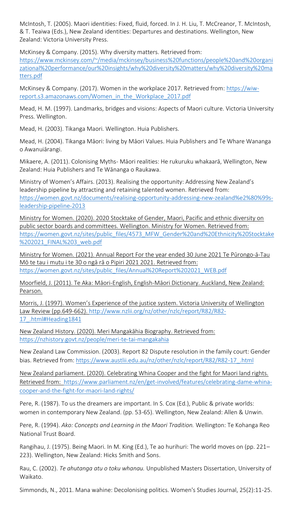McIntosh, T. (2005). Maori identities: Fixed, fluid, forced. In J. H. Liu, T. McCreanor, T. McIntosh, & T. Teaiwa (Eds.), New Zealand identities: Departures and destinations. Wellington, New Zealand: Victoria University Press.

McKinsey & Company. (2015). Why diversity matters. Retrieved from:

[https://www.mckinsey.com/~/media/mckinsey/business%20functions/people%20and%20organi](https://www.mckinsey.com/~/media/mckinsey/business%20functions/people%20and%20organizational%20performance/our%20insights/why%20diversity%20matters/why%20diversity%20matters.pdf) [zational%20performance/our%20insights/why%20diversity%20matters/why%20diversity%20ma](https://www.mckinsey.com/~/media/mckinsey/business%20functions/people%20and%20organizational%20performance/our%20insights/why%20diversity%20matters/why%20diversity%20matters.pdf) [tters.pdf](https://www.mckinsey.com/~/media/mckinsey/business%20functions/people%20and%20organizational%20performance/our%20insights/why%20diversity%20matters/why%20diversity%20matters.pdf)

McKinsey & Company. (2017). Women in the workplace 2017. Retrieved from: [https://wiw](https://wiw-report.s3.amazonaws.com/Women_in_the_Workplace_2017.pdf)[report.s3.amazonaws.com/Women\\_in\\_the\\_Workplace\\_2017.pdf](https://wiw-report.s3.amazonaws.com/Women_in_the_Workplace_2017.pdf)

Mead, H. M. (1997). Landmarks, bridges and visions: Aspects of Maori culture. Victoria University Press. Wellington.

Mead, H. (2003). Tikanga Maori. Wellington. Huia Publishers.

Mead, H. (2004). Tikanga Māori: living by Māori Values. Huia Publishers and Te Whare Wananga o Awanuiārangi.

Mikaere, A. (2011). Colonising Myths- Māori realities: He rukuruku whakaarā, Wellington, New Zealand: Huia Publishers and Te Wānanga o Raukawa.

Ministry of Women's Affairs. (2013). Realising the opportunity: Addressing New Zealand's leadership pipeline by attracting and retaining talented women. Retrieved from: [https://women.govt.nz/documents/realising-opportunity-addressing-new-zealand%e2%80%99s](https://women.govt.nz/documents/realising-opportunity-addressing-new-zealand%e2%80%99s-leadership-pipeline-2013)[leadership-pipeline-2013](https://women.govt.nz/documents/realising-opportunity-addressing-new-zealand%e2%80%99s-leadership-pipeline-2013)

Ministry for Women. (2020). 2020 Stocktake of Gender, Maori, Pacific and ethnic diversity on public sector boards and committees. Wellington. Ministry for Women. Retrieved from: [https://women.govt.nz/sites/public\\_files/4573\\_MFW\\_Gender%20and%20Ethnicity%20Stocktake](https://women.govt.nz/sites/public_files/4573_MFW_Gender%20and%20Ethnicity%20Stocktake%202021_FINAL%203_web.pdf) %202021 FINAL%203 web.pdf

Ministry for Women. (2021). Annual Report For the year ended 30 June 2021 Te Pūrongo-ā-Tau Mō te tau i mutu i te 30 o ngā rā o Pipiri 2021 2021. Retrieved from: [https://women.govt.nz/sites/public\\_files/Annual%20Report%202021\\_WEB.pdf](https://women.govt.nz/sites/public_files/Annual%20Report%202021_WEB.pdf)

Moorfield, J. (2011). Te Aka: Māori-English, English-Māori Dictionary. Auckland, New Zealand: Pearson.

Morris, J. (1997). Women's Experience of the justice system. Victoria University of Wellington Law Review (pp.649-662). [http://www.nzlii.org/nz/other/nzlc/report/R82/R82-](http://www.nzlii.org/nz/other/nzlc/report/R82/R82-17_.html#Heading1841) 17 .html#Heading1841

New Zealand History. (2020). Meri Mangakāhia Biography. Retrieved from: <https://nzhistory.govt.nz/people/meri-te-tai-mangakahia>

New Zealand Law Commission. (2003). Report 82 Dispute resolution in the family court: Gender bias. Retrieved from: https://www.austlii.edu.au/nz/other/nzlc/report/R82/R82-17.html

New Zealand parliament. (2020). Celebrating Whina Cooper and the fight for Maori land rights. Retrieved from: [https://www.parliament.nz/en/get-involved/features/celebrating-dame-whina](https://www.parliament.nz/en/get-involved/features/celebrating-dame-whina-cooper-and-the-fight-for-maori-land-rights/)[cooper-and-the-fight-for-maori-land-rights/](https://www.parliament.nz/en/get-involved/features/celebrating-dame-whina-cooper-and-the-fight-for-maori-land-rights/)

Pere, R. (1987). To us the dreamers are important. In S. Cox (Ed.), Public & private worlds: women in contemporary New Zealand. (pp. 53-65). Wellington, New Zealand: Allen & Unwin.

Pere, R. (1994). *Ako: Concepts and Learning in the Maori Tradition.* Wellington: Te Kohanga Reo National Trust Board.

Rangihau, J. (1975). Being Maori. In M. King (Ed.), Te ao hurihuri: The world moves on (pp. 221– 223). Wellington, New Zealand: Hicks Smith and Sons.

Rau, C. (2002). *Te ahutanga atu o toku whanau.* Unpublished Masters Dissertation, University of Waikato.

Simmonds, N., 2011. Mana wahine: Decolonising politics. Women's Studies Journal, 25(2):11-25.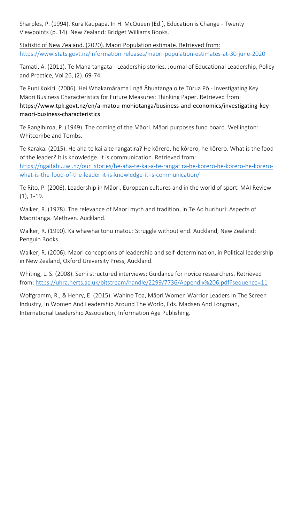Sharples, P. (1994). Kura Kaupapa. In H. McQueen (Ed.), Education is Change - Twenty Viewpoints (p. 14). New Zealand: Bridget Williams Books.

Statistic of New Zealand. (2020). Maori Population estimate. Retrieved from: <https://www.stats.govt.nz/information-releases/maori-population-estimates-at-30-june-2020>

Tamati, A. (2011). Te Mana tangata - Leadership stories. Journal of Educational Leadership, Policy and Practice, Vol 26, (2). 69-74.

Te Puni Kokiri. (2006). Hei Whakamārama i ngā Āhuatanga o te Tūrua Pō - Investigating Key Māori Business Characteristics for Future Measures: Thinking Paper. Retrieved from: https://www.tpk.govt.nz/en/a-matou-mohiotanga/business-and-economics/investigating-keymaori-business-characteristics

Te Rangihiroa, P. (1949). The coming of the Māori. Māori purposes fund board. Wellington: Whitcombe and Tombs.

Te Karaka. (2015). He aha te kai a te rangatira? He kōrero, he kōrero, he kōrero. What is the food of the leader? It is knowledge. It is communication. Retrieved from: [https://ngaitahu.iwi.nz/our\\_stories/he-aha-te-kai-a-te-rangatira-he-korero-he-korero-he-korero](https://ngaitahu.iwi.nz/our_stories/he-aha-te-kai-a-te-rangatira-he-korero-he-korero-he-korero-what-is-the-food-of-the-leader-it-is-knowledge-it-is-communication/)[what-is-the-food-of-the-leader-it-is-knowledge-it-is-communication/](https://ngaitahu.iwi.nz/our_stories/he-aha-te-kai-a-te-rangatira-he-korero-he-korero-he-korero-what-is-the-food-of-the-leader-it-is-knowledge-it-is-communication/)

Te Rito, P. (2006). Leadership in Māori, European cultures and in the world of sport. MAI Review (1), 1-19.

Walker, R. (1978). The relevance of Maori myth and tradition, in Te Ao hurihuri: Aspects of Maoritanga. Methven. Auckland.

Walker, R. (1990). Ka whawhai tonu matou: Struggle without end. Auckland, New Zealand: Penguin Books.

Walker, R. (2006). Maori conceptions of leadership and self-determination, in Political leadership in New Zealand, Oxford University Press, Auckland.

Whiting, L. S. (2008). Semi structured interviews: Guidance for novice researchers. Retrieved from:<https://uhra.herts.ac.uk/bitstream/handle/2299/7736/Appendix%206.pdf?sequence=11>

Wolfgramm, R., & Henry, E. (2015). Wahine Toa, Māori Women Warrior Leaders In The Screen Industry, In Women And Leadership Around The World, Eds. Madsen And Longman, International Leadership Association, Information Age Publishing.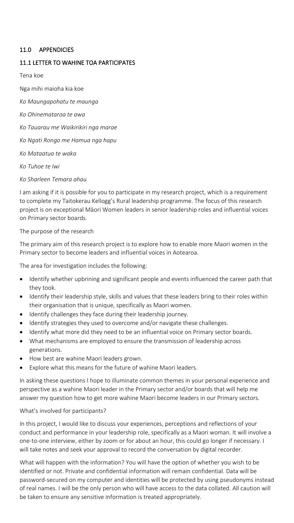#### 11.0 APPENDICIES

#### 11.1 LETTER TO WAHINE TOA PARTICIPATES

Tena koe

Nga mihi maioha kia koe

*Ko Maungapohatu te maunga*

- *Ko Ohinemataroa te awa*
- *Ko Tauarau me Waikirikiri nga marae*

*Ko Ngati Rongo me Hamua nga hapu*

*Ko Mataatua te waka*

*Ko Tuhoe te Iwi*

*Ko Sharleen Temara ahau*

I am asking if it is possible for you to participate in my research project, which is a requirement to complete my Taitokerau Kellogg's Rural leadership programme. The focus of this research project is on exceptional Māori Women leaders in senior leadership roles and influential voices on Primary sector boards.

#### The purpose of the research

The primary aim of this research project is to explore how to enable more Maori women in the Primary sector to become leaders and influential voices in Aotearoa.

The area for investigation includes the following:

- Identify whether upbrining and significant people and events influenced the career path that they took.
- Identify their leadership style, skills and values that these leaders bring to their roles within their organisation that is unique, specifically as Maori women.
- Identify challenges they face during their leadership journey.
- Identify strategies they used to overcome and/or navigate these challenges.
- Identify what more did they need to be an influential voice on Primary sector boards.
- What mechanisms are employed to ensure the transmission of leadership across generations.
- How best are wahine Maori leaders grown.
- Explore what this means for the future of wahine Maori leaders.

In asking these questions I hope to illuminate common themes in your personal experience and perspective as a wahine Maori leader in the Primary sector and/or boards that will help me answer my question how to get more wahine Maori become leaders in our Primary sectors.

#### What's involved for participants?

In this project, I would like to discuss your experiences, perceptions and reflections of your conduct and performance in your leadership role, specifically as a Maori woman. It will involve a one-to-one interview, either by zoom or for about an hour, this could go longer if necessary. I will take notes and seek your approval to record the conversation by digital recorder.

What will happen with the information? You will have the option of whether you wish to be identified or not. Private and confidential information will remain confidential. Data will be password-secured on my computer and identities will be protected by using pseudonyms instead of real names. I will be the only person who will have access to the data collated. All caution will be taken to ensure any sensitive information is treated appropriately.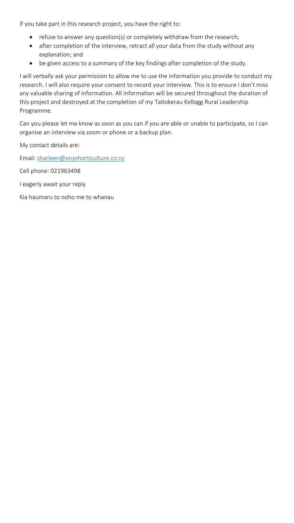If you take part in this research project, you have the right to:

- refuse to answer any question(s) or completely withdraw from the research;
- after completion of the interview, retract all your data from the study without any explanation; and
- be given access to a summary of the key findings after completion of the study.

I will verbally ask your permission to allow me to use the information you provide to conduct my research. I will also require your consent to record your interview. This is to ensure I don't miss any valuable sharing of information. All information will be secured throughout the duration of this project and destroyed at the completion of my Taitokerau Kellogg Rural Leadership Programme.

Can you please let me know as soon as you can if you are able or unable to participate, so I can organise an interview via zoom or phone or a backup plan.

My contact details are:

Email: [sharleen@onyxhorticulture.co.nz](mailto:sharleen@onyxhorticulture.co.nz)

Cell phone: 021963498

I eagerly await your reply

Kia haumaru to noho me to whanau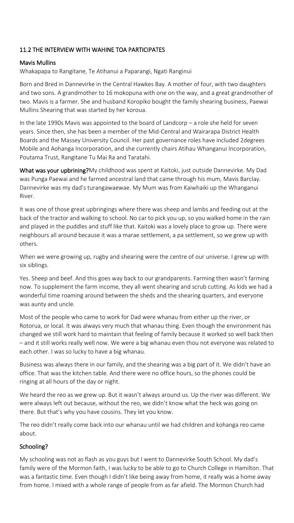## 11.2 THE INTERVIEW WITH WAHINE TOA PARTICIPATES

#### Mavis Mullins

Whakapapa to Rangitane, Te Atihanui a Paparangi, Ngati Ranginui

Born and Bred in Dannevirke in the Central Hawkes Bay. A mother of four, with two daughters and two sons. A grandmother to 16 mokopuna with one on the way, and a great grandmother of two. Mavis is a farmer. She and husband Koropiko bought the family shearing business, Paewai Mullins Shearing that was started by her koroua.

In the late 1990s Mavis was appointed to the board of Landcorp – a role she held for seven years. Since then, she has been a member of the Mid-Central and Wairarapa District Health Boards and the Massey University Council. Her past governance roles have included 2degrees Mobile and Aohanga Incorporation, and she currently chairs Atihau Whanganui Incorporation, Poutama Trust, Rangitane Tu Mai Ra and Taratahi.

What was your upbrining?My childhood was spent at Kaitoki, just outside Dannevirke. My Dad was Punga Paewai and he farmed ancestral land that came through his mum, Mavis Barclay. Dannevirke was my dad's turangawaewae. My Mum was from Kaiwhaiki up the Whanganui River.

It was one of those great upbringings where there was sheep and lambs and feeding out at the back of the tractor and walking to school. No car to pick you up, so you walked home in the rain and played in the puddles and stuff like that. Kaitoki was a lovely place to grow up. There were neighbours all around because it was a marae settlement, a pa settlement, so we grew up with others.

When we were growing up, rugby and shearing were the centre of our universe. I grew up with six siblings.

Yes. Sheep and beef. And this goes way back to our grandparents. Farming then wasn't farming now. To supplement the farm income, they all went shearing and scrub cutting. As kids we had a wonderful time roaming around between the sheds and the shearing quarters, and everyone was aunty and uncle.

Most of the people who came to work for Dad were whanau from either up the river, or Rotorua, or local. It was always very much that whanau thing. Even though the environment has changed we still work hard to maintain that feeling of family because it worked so well back then – and it still works really well now. We were a big whanau even thou not everyone was related to each other. I was so lucky to have a big whanau.

Business was always there in our family, and the shearing was a big part of it. We didn't have an office. That was the kitchen table. And there were no office hours, so the phones could be ringing at all hours of the day or night.

We heard the reo as we grew up. But it wasn't always around us. Up the river was different. We were always left out because, without the reo, we didn't know what the heck was going on there. But that's why you have cousins. They let you know.

The reo didn't really come back into our whanau until we had children and kohanga reo came about.

#### Schooling?

My schooling was not as flash as you guys but I went to Dannevirke South School. My dad's family were of the Mormon faith, I was lucky to be able to go to Church College in Hamilton. That was a fantastic time. Even though I didn't like being away from home, it really was a home away from home. I mixed with a whole range of people from as far afield. The Mormon Church had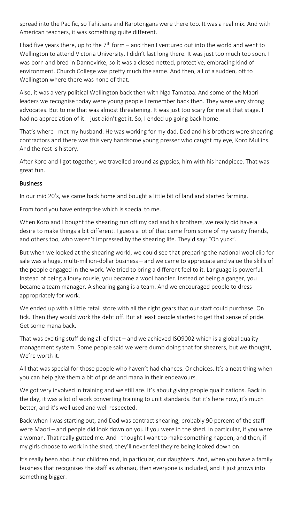spread into the Pacific, so Tahitians and Rarotongans were there too. It was a real mix. And with American teachers, it was something quite different.

I had five years there, up to the  $7<sup>th</sup>$  form – and then I ventured out into the world and went to Wellington to attend Victoria University. I didn't last long there. It was just too much too soon. I was born and bred in Dannevirke, so it was a closed netted, protective, embracing kind of environment. Church College was pretty much the same. And then, all of a sudden, off to Wellington where there was none of that.

Also, it was a very political Wellington back then with Nga Tamatoa. And some of the Maori leaders we recognise today were young people I remember back then. They were very strong advocates. But to me that was almost threatening. It was just too scary for me at that stage. I had no appreciation of it. I just didn't get it. So, I ended up going back home.

That's where I met my husband. He was working for my dad. Dad and his brothers were shearing contractors and there was this very handsome young presser who caught my eye, Koro Mullins. And the rest is history.

After Koro and I got together, we travelled around as gypsies, him with his handpiece. That was great fun.

#### Business

In our mid 20's, we came back home and bought a little bit of land and started farming.

From food you have enterprise which is special to me.

When Koro and I bought the shearing run off my dad and his brothers, we really did have a desire to make things a bit different. I guess a lot of that came from some of my varsity friends, and others too, who weren't impressed by the shearing life. They'd say: "Oh yuck".

But when we looked at the shearing world, we could see that preparing the national wool clip for sale was a huge, multi-million-dollar business – and we came to appreciate and value the skills of the people engaged in the work. We tried to bring a different feel to it. Language is powerful. Instead of being a lousy rousie, you became a wool handler. Instead of being a ganger, you became a team manager. A shearing gang is a team. And we encouraged people to dress appropriately for work.

We ended up with a little retail store with all the right gears that our staff could purchase. On tick. Then they would work the debt off. But at least people started to get that sense of pride. Get some mana back.

That was exciting stuff doing all of that – and we achieved ISO9002 which is a global quality management system. Some people said we were dumb doing that for shearers, but we thought, We're worth it.

All that was special for those people who haven't had chances. Or choices. It's a neat thing when you can help give them a bit of pride and mana in their endeavours.

We got very involved in training and we still are. It's about giving people qualifications. Back in the day, it was a lot of work converting training to unit standards. But it's here now, it's much better, and it's well used and well respected.

Back when I was starting out, and Dad was contract shearing, probably 90 percent of the staff were Maori – and people did look down on you if you were in the shed. In particular, if you were a woman. That really gutted me. And I thought I want to make something happen, and then, if my girls choose to work in the shed, they'll never feel they're being looked down on.

It's really been about our children and, in particular, our daughters. And, when you have a family business that recognises the staff as whanau, then everyone is included, and it just grows into something bigger.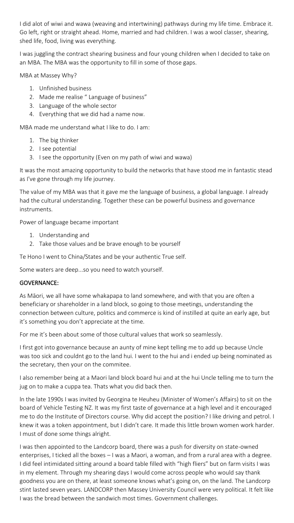I did alot of wiwi and wawa (weaving and intertwining) pathways during my life time. Embrace it. Go left, right or straight ahead. Home, married and had children. I was a wool classer, shearing, shed life, food, living was everything.

I was juggling the contract shearing business and four young children when I decided to take on an MBA. The MBA was the opportunity to fill in some of those gaps.

MBA at Massey Why?

- 1. Unfinished business
- 2. Made me realise " Language of business"
- 3. Language of the whole sector
- 4. Everything that we did had a name now.

MBA made me understand what I like to do. I am:

- 1. The big thinker
- 2. I see potential
- 3. I see the opportunity (Even on my path of wiwi and wawa)

It was the most amazing opportunity to build the networks that have stood me in fantastic stead as I've gone through my life journey.

The value of my MBA was that it gave me the language of business, a global language. I already had the cultural understanding. Together these can be powerful business and governance instruments.

Power of language became important

- 1. Understanding and
- 2. Take those values and be brave enough to be yourself

Te Hono I went to China/States and be your authentic True self.

Some waters are deep...so you need to watch yourself.

#### GOVERNANCE:

As Māori, we all have some whakapapa to land somewhere, and with that you are often a beneficiary or shareholder in a land block, so going to those meetings, understanding the connection between culture, politics and commerce is kind of instilled at quite an early age, but it's something you don't appreciate at the time.

For me it's been about some of those cultural values that work so seamlessly.

I first got into governance because an aunty of mine kept telling me to add up because Uncle was too sick and couldnt go to the land hui. I went to the hui and i ended up being nominated as the secretary, then your on the commitee.

I also remember being at a Maori land block board hui and at the hui Uncle telling me to turn the jug on to make a cuppa tea. Thats what you did back then.

ln the late 1990s I was invited by Georgina te Heuheu (Minister of Women's Affairs) to sit on the board of Vehicle Testing NZ. It was my first taste of governance at a high level and it encouraged me to do the Institute of Directors course. Why did accept the position? I like driving and petrol. I knew it was a token appointment, but I didn't care. It made this little brown women work harder. I must of done some things alright.

I was then appointed to the Landcorp board, there was a push for diversity on state-owned enterprises, I ticked all the boxes – I was a Maori, a woman, and from a rural area with a degree. I did feel intimidated sitting around a board table filled with "high fliers" but on farm visits I was in my element. Through my shearing days I would come across people who would say thank goodness you are on there, at least someone knows what's going on, on the land. The Landcorp stint lasted seven years. LANDCORP then Massey University Council were very political. It felt like I was the bread between the sandwich most times. Government challenges.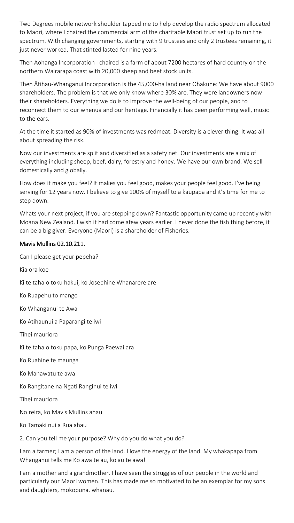Two Degrees mobile network shoulder tapped me to help develop the radio spectrum allocated to Maori, where I chaired the commercial arm of the charitable Maori trust set up to run the spectrum. With changing governments, starting with 9 trustees and only 2 trustees remaining, it just never worked. That stinted lasted for nine years.

Then Aohanga Incorporation I chaired is a farm of about 7200 hectares of hard country on the northern Wairarapa coast with 20,000 sheep and beef stock units.

Then Ātihau-Whanganui Incorporation is the 45,000-ha land near Ohakune: We have about 9000 shareholders. The problem is that we only know where 30% are. They were landowners now their shareholders. Everything we do is to improve the well-being of our people, and to reconnect them to our whenua and our heritage. Financially it has been performing well, music to the ears.

At the time it started as 90% of investments was redmeat. Diversity is a clever thing. It was all about spreading the risk.

Now our investments are split and diversified as a safety net. Our investments are a mix of everything including sheep, beef, dairy, forestry and honey. We have our own brand. We sell domestically and globally.

How does it make you feel? It makes you feel good, makes your people feel good. I've being serving for 12 years now. I believe to give 100% of myself to a kaupapa and it's time for me to step down.

Whats your next project, if you are stepping down? Fantastic opportunity came up recently with Moana New Zealand. I wish it had come afew years earlier. I never done the fish thing before, it can be a big giver. Everyone (Maori) is a shareholder of Fisheries.

#### Mavis Mullins 02.10.211.

Can I please get your pepeha?

Kia ora koe

Ki te taha o toku hakui, ko Josephine Whanarere are

Ko Ruapehu to mango

Ko Whanganui te Awa

Ko Atihaunui a Paparangi te iwi

Tihei mauriora

Ki te taha o toku papa, ko Punga Paewai ara

Ko Ruahine te maunga

Ko Manawatu te awa

Ko Rangitane na Ngati Ranginui te iwi

Tihei mauriora

No reira, ko Mavis Mullins ahau

Ko Tamaki nui a Rua ahau

2. Can you tell me your purpose? Why do you do what you do?

I am a farmer; I am a person of the land. I love the energy of the land. My whakapapa from Whanganui tells me Ko awa te au, ko au te awa!

I am a mother and a grandmother. I have seen the struggles of our people in the world and particularly our Maori women. This has made me so motivated to be an exemplar for my sons and daughters, mokopuna, whanau.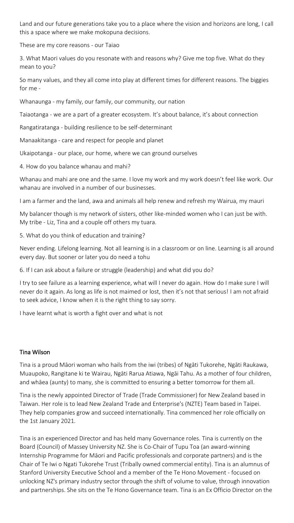Land and our future generations take you to a place where the vision and horizons are long, I call this a space where we make mokopuna decisions.

These are my core reasons - our Taiao

3. What Maori values do you resonate with and reasons why? Give me top five. What do they mean to you?

So many values, and they all come into play at different times for different reasons. The biggies for me -

Whanaunga - my family, our family, our community, our nation

Taiaotanga - we are a part of a greater ecosystem. It's about balance, it's about connection

Rangatiratanga - building resilience to be self-determinant

Manaakitanga - care and respect for people and planet

Ukaipotanga - our place, our home, where we can ground ourselves

4. How do you balance whanau and mahi?

Whanau and mahi are one and the same. I love my work and my work doesn't feel like work. Our whanau are involved in a number of our businesses.

I am a farmer and the land, awa and animals all help renew and refresh my Wairua, my mauri

My balancer though is my network of sisters, other like-minded women who I can just be with. My tribe - Liz, Tina and a couple off others my tuara.

5. What do you think of education and training?

Never ending. Lifelong learning. Not all learning is in a classroom or on line. Learning is all around every day. But sooner or later you do need a tohu

6. If I can ask about a failure or struggle (leadership) and what did you do?

I try to see failure as a learning experience, what will I never do again. How do I make sure I will never do it again. As long as life is not maimed or lost, then it's not that serious! I am not afraid to seek advice, I know when it is the right thing to say sorry.

I have learnt what is worth a fight over and what is not

#### Tina Wilson

Tina is a proud Māori woman who hails from the iwi (tribes) of Ngāti Tukorehe, Ngāti Raukawa, Muaupoko, Rangitane ki te Wairau, Ngāti Rarua Atiawa, Ngāi Tahu. As a mother of four children, and whāea (aunty) to many, she is committed to ensuring a better tomorrow for them all.

Tina is the newly appointed Director of Trade (Trade Commissioner) for New Zealand based in Taiwan. Her role is to lead New Zealand Trade and Enterprise's (NZTE) Team based in Taipei. They help companies grow and succeed internationally. Tina commenced her role officially on the 1st January 2021.

Tina is an experienced Director and has held many Governance roles. Tina is currently on the Board (Council) of Massey University NZ. She is Co-Chair of Tupu Toa (an award-winning Internship Programme for Māori and Pacific professionals and corporate partners) and is the Chair of Te Iwi o Ngati Tukorehe Trust (Tribally owned commercial entity). Tina is an alumnus of Stanford University Executive School and a member of the Te Hono Movement - focused on unlocking NZ's primary industry sector through the shift of volume to value, through innovation and partnerships. She sits on the Te Hono Governance team. Tina is an Ex Officio Director on the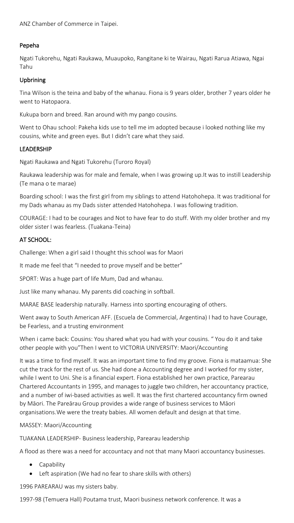ANZ Chamber of Commerce in Taipei.

## Pepeha

Ngati Tukorehu, Ngati Raukawa, Muaupoko, Rangitane ki te Wairau, Ngati Rarua Atiawa, Ngai Tahu

#### Upbrining

Tina Wilson is the teina and baby of the whanau. Fiona is 9 years older, brother 7 years older he went to Hatopaora.

Kukupa born and breed. Ran around with my pango cousins.

Went to Ohau school: Pakeha kids use to tell me im adopted because i looked nothing like my cousins, white and green eyes. But I didn't care what they said.

#### LEADERSHIP

Ngati Raukawa and Ngati Tukorehu (Turoro Royal)

Raukawa leadership was for male and female, when I was growing up.It was to instill Leadership (Te mana o te marae)

Boarding school: I was the first girl from my siblings to attend Hatohohepa. It was traditional for my Dads whanau as my Dads sister attended Hatohohepa. I was following tradition.

COURAGE: I had to be courages and Not to have fear to do stuff. With my older brother and my older sister I was fearless. (Tuakana-Teina)

## AT SCHOOL:

Challenge: When a girl said I thought this school was for Maori

It made me feel that "I needed to prove myself and be better"

SPORT: Was a huge part of life Mum, Dad and whanau.

Just like many whanau. My parents did coaching in softball.

MARAE BASE leadership naturally. Harness into sporting encouraging of others.

Went away to South American AFF. (Escuela de Commercial, Argentina) I had to have Courage, be Fearless, and a trusting environment

When i came back: Cousins: You shared what you had with your cousins. " You do it and take other people with you"Then I went to VICTORIA UNIVERSITY: Maori/Accounting

It was a time to find myself. It was an important time to find my groove. Fiona is mataamua: She cut the track for the rest of us. She had done a Accounting degree and I worked for my sister, while I went to Uni. She is a financial expert. Fiona established her own practice, Parearau Chartered Accountants in 1995, and manages to juggle two children, her accountancy practice, and a number of iwi-based activities as well. It was the first chartered accountancy firm owned by Māori. The Pareārau Group provides a wide range of business services to Māori organisations.We were the treaty babies. All women default and design at that time.

MASSEY: Maori/Accounting

TUAKANA LEADERSHIP- Business leadership, Parearau leadership

A flood as there was a need for accountacy and not that many Maori accountancy businesses.

- Capability
- Left aspiration (We had no fear to share skills with others)

1996 PAREARAU was my sisters baby.

1997-98 (Temuera Hall) Poutama trust, Maori business network conference. It was a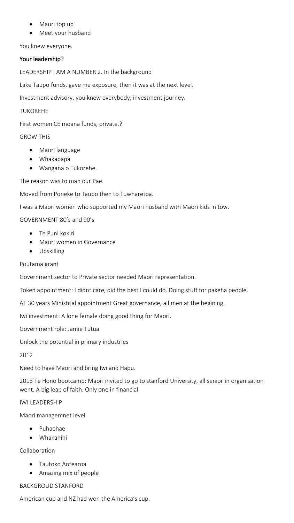- Mauri top up
- Meet your husband

You knew everyone.

#### Your leadership?

LEADERSHIP I AM A NUMBER 2. In the background

Lake Taupo funds, gave me exposure, then it was at the next level.

Investment advisory, you knew everybody, investment journey.

#### TUKOREHE

First women CE moana funds, private.?

## GROW THIS

- Maori language
- Whakapapa
- Wangana o Tukorehe.

The reason was to man our Pae.

Moved from Poneke to Taupo then to Tuwharetoa.

I was a Maori women who supported my Maori husband with Maori kids in tow.

GOVERNMENT 80's and 90's

- Te Puni kokiri
- Maori women in Governance
- Upskilling

#### Poutama grant

Government sector to Private sector needed Maori representation.

Token appointment: I didnt care, did the best I could do. Doing stuff for pakeha people.

AT 30 years Ministrial appointment Great governance, all men at the begining.

Iwi investment: A lone female doing good thing for Maori.

Government role: Jamie Tutua

Unlock the potential in primary industries

2012

Need to have Maori and bring Iwi and Hapu.

2013 Te Hono bootcamp: Maori invited to go to stanford University, all senior in organisation went. A big leap of faith. Only one in financial.

#### IWI LEADERSHIP

Maori managemnet level

- Puhaehae
- Whakahihi

Collaboration

- Tautoko Aotearoa
- Amazing mix of people

#### BACKGROUD STANFORD

American cup and NZ had won the America's cup.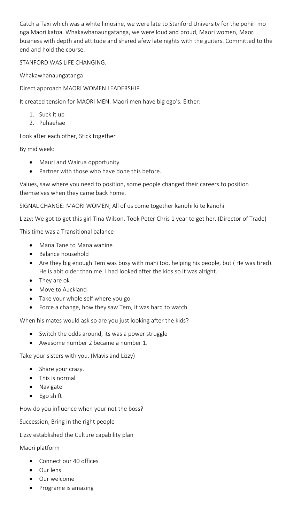Catch a Taxi which was a white limosine, we were late to Stanford University for the pohiri mo nga Maori katoa. Whakawhanaungatanga, we were loud and proud, Maori women, Maori business with depth and attitude and shared afew late nights with the guiters. Committed to the end and hold the course.

#### STANFORD WAS LIFE CHANGING.

Whakawhanaungatanga

Direct approach MAORI WOMEN LEADERSHIP

It created tension for MAORI MEN. Maori men have big ego's. Either:

- 1. Suck it up
- 2. Puhaehae

Look after each other, Stick together

By mid week:

- Mauri and Wairua opportunity
- Partner with those who have done this before.

Values, saw where you need to position, some people changed their careers to position themselves when they came back home.

SIGNAL CHANGE: MAORI WOMEN; All of us come together kanohi ki te kanohi

Lizzy: We got to get this girl Tina Wilson. Took Peter Chris 1 year to get her. (Director of Trade)

This time was a Transitional balance

- Mana Tane to Mana wahine
- Balance household
- Are they big enough Tem was busy with mahi too, helping his people, but ( He was tired). He is abit older than me. I had looked after the kids so it was alright.
- They are ok
- Move to Auckland
- Take your whole self where you go
- Force a change, how they saw Tem, it was hard to watch

When his mates would ask so are you just looking after the kids?

- Switch the odds around, its was a power struggle
- Awesome number 2 became a number 1.

Take your sisters with you. (Mavis and Lizzy)

- Share your crazy.
- This is normal
- **Navigate**
- Ego shift

How do you influence when your not the boss?

Succession, Bring in the right people

Lizzy established the Culture capability plan

Maori platform

- Connect our 40 offices
- Our lens
- Our welcome
- Programe is amazing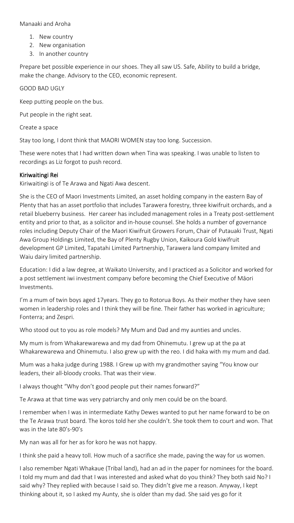#### Manaaki and Aroha

- 1. New country
- 2. New organisation
- 3. In another country

Prepare bet possible experience in our shoes. They all saw US. Safe, Ability to build a bridge, make the change. Advisory to the CEO, economic represent.

#### GOOD BAD UGLY

Keep putting people on the bus.

Put people in the right seat.

Create a space

Stay too long, I dont think that MAORI WOMEN stay too long. Succession.

These were notes that I had written down when Tina was speaking. I was unable to listen to recordings as Liz forgot to push record.

#### Kiriwaitingi Rei

Kiriwaitingi is of Te Arawa and Ngati Awa descent.

She is the CEO of Maori Investments Limited, an asset holding company in the eastern Bay of Plenty that has an asset portfolio that includes Tarawera forestry, three kiwifruit orchards, and a retail blueberry business. Her career has included management roles in a Treaty post-settlement entity and prior to that, as a solicitor and in-house counsel. She holds a number of governance roles including Deputy Chair of the Maori Kiwifruit Growers Forum, Chair of Putauaki Trust, Ngati Awa Group Holdings Limited, the Bay of Plenty Rugby Union, Kaikoura Gold kiwifruit development GP Limited, Tapatahi Limited Partnership, Tarawera land company limited and Waiu dairy limited partnership.

Education: I did a law degree, at Waikato University, and I practiced as a Solicitor and worked for a post settlement iwi investment company before becoming the Chief Executive of Māori Investments.

I'm a mum of twin boys aged 17years. They go to Rotorua Boys. As their mother they have seen women in leadership roles and I think they will be fine. Their father has worked in agriculture; Fonterra; and Zespri.

Who stood out to you as role models? My Mum and Dad and my aunties and uncles.

My mum is from Whakarewarewa and my dad from Ohinemutu. I grew up at the pa at Whakarewarewa and Ohinemutu. I also grew up with the reo. I did haka with my mum and dad*.* 

Mum was a haka judge during 1988. I Grew up with my grandmother saying "You know our leaders, their all-bloody crooks. That was their view.

I always thought "Why don't good people put their names forward?"

Te Arawa at that time was very patriarchy and only men could be on the board.

I remember when I was in intermediate Kathy Dewes wanted to put her name forward to be on the Te Arawa trust board. The koros told her she couldn't. She took them to court and won. That was in the late 80's-90's

My nan was all for her as for koro he was not happy.

I think she paid a heavy toll. How much of a sacrifice she made, paving the way for us women.

I also remember Ngati Whakaue (Tribal land), had an ad in the paper for nominees for the board. I told my mum and dad that I was interested and asked what do you think? They both said No? I said why? They replied with because I said so. They didn't give me a reason. Anyway, I kept thinking about it, so I asked my Aunty, she is older than my dad. She said yes go for it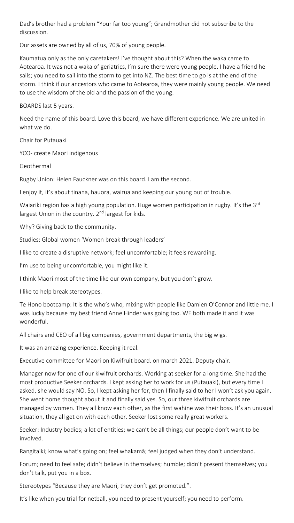Dad's brother had a problem "Your far too young"; Grandmother did not subscribe to the discussion.

Our assets are owned by all of us, 70% of young people.

Kaumatua only as the only caretakers! I've thought about this? When the waka came to Aotearoa. It was not a waka of geriatrics, I'm sure there were young people. I have a friend he sails; you need to sail into the storm to get into NZ. The best time to go is at the end of the storm. I think if our ancestors who came to Aotearoa, they were mainly young people. We need to use the wisdom of the old and the passion of the young.

BOARDS last 5 years.

Need the name of this board. Love this board, we have different experience. We are united in what we do.

Chair for Putauaki

YCO- create Maori indigenous

Geothermal

Rugby Union: Helen Fauckner was on this board. I am the second.

I enjoy it, it's about tinana, hauora, wairua and keeping our young out of trouble.

Waiariki region has a high young population. Huge women participation in rugby. It's the 3<sup>rd</sup> largest Union in the country. 2<sup>nd</sup> largest for kids.

Why? Giving back to the community.

Studies: Global women 'Women break through leaders'

I like to create a disruptive network; feel uncomfortable; it feels rewarding.

I'm use to being uncomfortable, you might like it.

I think Maori most of the time like our own company, but you don't grow.

I like to help break stereotypes.

Te Hono bootcamp: It is the who's who, mixing with people like Damien O'Connor and little me. I was lucky because my best friend Anne Hinder was going too. WE both made it and it was wonderful.

All chairs and CEO of all big companies, government departments, the big wigs.

It was an amazing experience. Keeping it real.

Executive committee for Maori on Kiwifruit board, on march 2021. Deputy chair.

Manager now for one of our kiwifruit orchards. Working at seeker for a long time. She had the most productive Seeker orchards. I kept asking her to work for us (Putauaki), but every time I asked, she would say NO. So, I kept asking her for, then I finally said to her I won't ask you again. She went home thought about it and finally said yes. So, our three kiwifruit orchards are managed by women. They all know each other, as the first wahine was their boss. It's an unusual situation, they all get on with each other. Seeker lost some really great workers.

Seeker: Industry bodies; a lot of entities; we can't be all things; our people don't want to be involved.

Rangitaiki; know what's going on; feel whakamā; feel judged when they don't understand.

Forum; need to feel safe; didn't believe in themselves; humble; didn't present themselves; you don't talk, put you in a box.

Stereotypes "Because they are Maori, they don't get promoted.".

It's like when you trial for netball, you need to present yourself; you need to perform.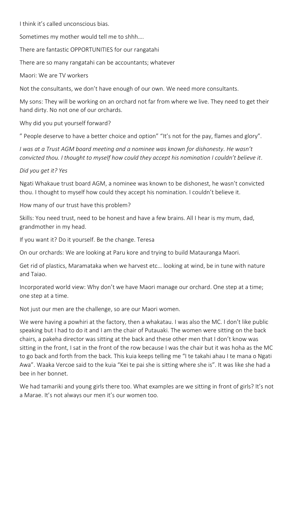I think it's called unconscious bias.

Sometimes my mother would tell me to shhh….

There are fantastic OPPORTUNITIES for our rangatahi

There are so many rangatahi can be accountants; whatever

Maori: We are TV workers

Not the consultants, we don't have enough of our own. We need more consultants.

My sons: They will be working on an orchard not far from where we live. They need to get their hand dirty. No not one of our orchards.

Why did you put yourself forward?

" People deserve to have a better choice and option" "It's not for the pay, flames and glory".

*I was at a Trust AGM board meeting and a nominee was known for dishonesty. He wasn't convicted thou. I thought to myself how could they accept his nomination I couldn't believe it*.

*Did you get it? Yes*

Ngati Whakaue trust board AGM, a nominee was known to be dishonest, he wasn't convicted thou. I thought to myself how could they accept his nomination. I couldn't believe it.

How many of our trust have this problem?

Skills: You need trust, need to be honest and have a few brains. All I hear is my mum, dad, grandmother in my head.

If you want it? Do it yourself. Be the change. Teresa

On our orchards: We are looking at Paru kore and trying to build Matauranga Maori.

Get rid of plastics, Maramataka when we harvest etc… looking at wind, be in tune with nature and Taiao.

Incorporated world view: Why don't we have Maori manage our orchard. One step at a time; one step at a time.

Not just our men are the challenge, so are our Maori women.

We were having a powhiri at the factory, then a whakatau. I was also the MC. I don't like public speaking but I had to do it and I am the chair of Putauaki. The women were sitting on the back chairs, a pakeha director was sitting at the back and these other men that I don't know was sitting in the front, I sat in the front of the row because I was the chair but it was hoha as the MC to go back and forth from the back. This kuia keeps telling me "I te takahi ahau I te mana o Ngati Awa". Waaka Vercoe said to the kuia "Kei te pai she is sitting where she is". It was like she had a bee in her bonnet.

We had tamariki and young girls there too. What examples are we sitting in front of girls? It's not a Marae. It's not always our men it's our women too.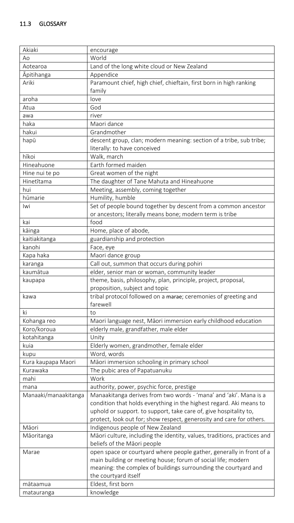| Akiaki               | encourage                                                                |
|----------------------|--------------------------------------------------------------------------|
| Ao                   | World                                                                    |
| Aotearoa             | Land of the long white cloud or New Zealand                              |
| <b>Apitihanga</b>    | Appendice                                                                |
| Ariki                | Paramount chief, high chief, chieftain, first born in high ranking       |
|                      | family                                                                   |
| aroha                | love                                                                     |
| Atua                 | God                                                                      |
| awa                  | river                                                                    |
| haka                 | Maori dance                                                              |
| hakui                | Grandmother                                                              |
| hapū                 | descent group, clan; modern meaning: section of a tribe, sub tribe;      |
|                      | literally: to have conceived                                             |
| hīkoi                | Walk, march                                                              |
| Hineahuone           | Earth formed maiden                                                      |
| Hine nui te po       | Great women of the night                                                 |
| Hinetītama           | The daughter of Tane Mahuta and Hineahuone                               |
| hui                  | Meeting, assembly, coming together                                       |
| hūmarie              | Humility, humble                                                         |
| Iwi                  | Set of people bound together by descent from a common ancestor           |
|                      | or ancestors; literally means bone; modern term is tribe                 |
| kai                  | food                                                                     |
| kāinga               | Home, place of abode,                                                    |
| kaitiakitanga        | guardianship and protection                                              |
| kanohi               | Face, eye                                                                |
| Kapa haka            | Maori dance group                                                        |
| karanga              | Call out, summon that occurs during pohiri                               |
| kaumātua             | elder, senior man or woman, community leader                             |
| kaupapa              | theme, basis, philosophy, plan, principle, project, proposal,            |
|                      | proposition, subject and topic                                           |
| kawa                 | tribal protocol followed on a marae; ceremonies of greeting and          |
|                      | farewell                                                                 |
| ki                   | to                                                                       |
| Kohanga reo          | Maori language nest, Māori immersion early childhood education           |
| Koro/koroua          | elderly male, grandfather, male elder                                    |
| kotahitanga          | Unity                                                                    |
| kuia                 | Elderly women, grandmother, female elder                                 |
| kupu                 | Word, words                                                              |
| Kura kaupapa Maori   | Māori immersion schooling in primary school                              |
| Kurawaka             | The pubic area of Papatuanuku                                            |
| mahi                 | Work                                                                     |
| mana                 | authority, power, psychic force, prestige                                |
| Manaaki/manaakitanga | Manaakitanga derives from two words - 'mana' and 'aki'. Mana is a        |
|                      | condition that holds everything in the highest regard. Aki means to      |
|                      | uphold or support. to support, take care of, give hospitality to,        |
|                      | protect, look out for; show respect, generosity and care for others.     |
| Māori                | Indigenous people of New Zealand                                         |
| Māoritanga           | Māori culture, including the identity, values, traditions, practices and |
|                      | beliefs of the Māori people                                              |
| Marae                | open space or courtyard where people gather, generally in front of a     |
|                      | main building or meeting house; forum of social life; modern             |
|                      | meaning: the complex of buildings surrounding the courtyard and          |
|                      | the courtyard itself                                                     |
| mātaamua             | Eldest, first born                                                       |
| matauranga           | knowledge                                                                |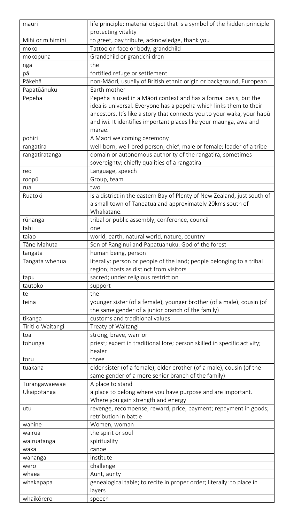| mauri             | life principle; material object that is a symbol of the hidden principle |
|-------------------|--------------------------------------------------------------------------|
|                   | protecting vitality                                                      |
| Mihi or mihimihi  | to greet, pay tribute, acknowledge, thank you                            |
| moko              | Tattoo on face or body, grandchild                                       |
| mokopuna          | Grandchild or grandchildren                                              |
|                   | the                                                                      |
| nga               |                                                                          |
| pā                | fortified refuge or settlement                                           |
| Pākehā            | non-Māori, usually of British ethnic origin or background, European      |
| Papatūānuku       | Earth mother                                                             |
| Pepeha            | Pepeha is used in a Māori context and has a formal basis, but the        |
|                   | idea is universal. Everyone has a pepeha which links them to their       |
|                   | ancestors. It's like a story that connects you to your waka, your hapū   |
|                   | and iwi. It identifies important places like your maunga, awa and        |
|                   | marae.                                                                   |
| pohiri            | A Maori welcoming ceremony                                               |
| rangatira         | well-born, well-bred person; chief, male or female; leader of a tribe    |
| rangatiratanga    | domain or autonomous authority of the rangatira, sometimes               |
|                   | sovereignty; chiefly qualities of a rangatira                            |
| reo               | Language, speech                                                         |
| roopū             | Group, team                                                              |
| rua               | two                                                                      |
| Ruatoki           | Is a district in the eastern Bay of Plenty of New Zealand, just south of |
|                   | a small town of Taneatua and approximately 20kms south of                |
|                   | Whakatane.                                                               |
| rūnanga           | tribal or public assembly, conference, council                           |
| tahi              | one                                                                      |
| taiao             | world, earth, natural world, nature, country                             |
| Tāne Mahuta       | Son of Ranginui and Papatuanuku. God of the forest                       |
| tangata           | human being, person                                                      |
| Tangata whenua    | literally: person or people of the land; people belonging to a tribal    |
|                   | region; hosts as distinct from visitors                                  |
| tapu              | sacred; under religious restriction                                      |
| tautoko           | support                                                                  |
| te                | the                                                                      |
| teina             | younger sister (of a female), younger brother (of a male), cousin (of    |
|                   | the same gender of a junior branch of the family)                        |
|                   | customs and traditional values                                           |
| tikanga           |                                                                          |
| Tiriti o Waitangi | Treaty of Waitangi                                                       |
| toa               | strong, brave, warrior                                                   |
| tohunga           | priest; expert in traditional lore; person skilled in specific activity; |
|                   | healer                                                                   |
| toru              | three                                                                    |
| tuakana           | elder sister (of a female), elder brother (of a male), cousin (of the    |
|                   | same gender of a more senior branch of the family)                       |
| Turangawaewae     | A place to stand                                                         |
| Ukaipotanga       | a place to belong where you have purpose and are important.              |
|                   | Where you gain strength and energy                                       |
| utu               | revenge, recompense, reward, price, payment; repayment in goods;         |
|                   | retribution in battle                                                    |
| wahine            | Women, woman                                                             |
| wairua            | the spirit or soul                                                       |
| wairuatanga       | spirituality                                                             |
| waka              | canoe                                                                    |
| wananga           | institute                                                                |
| wero              | challenge                                                                |
| whaea             | Aunt, aunty                                                              |
| whakapapa         | genealogical table; to recite in proper order; literally: to place in    |
|                   | layers                                                                   |
| whaikorero        | speech                                                                   |
|                   |                                                                          |